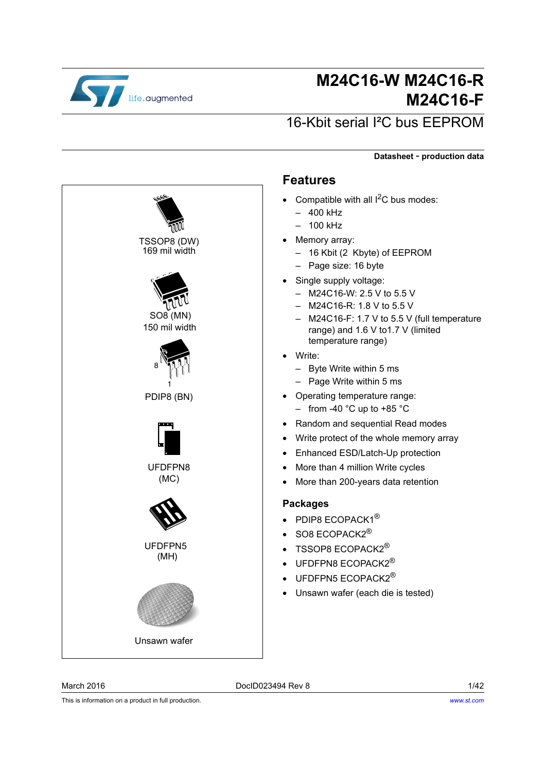

# **M24C16-W M24C16-R M24C16-F**

# 16-Kbit serial I²C bus EEPROM

**Datasheet** - **production data**

# 8 1 PDIP8 (BN) TSSOP8 (DW) 169 mil width UFDFPN8 (MC) SO8 (MN) 150 mil width (MH) UFDFPN5 Unsawn wafer

#### <span id="page-0-0"></span>**Features**

- Compatible with all  $I^2C$  bus modes:
	- 400 kHz
	- 100 kHz
	- Memory array:
		- 16 Kbit (2 Kbyte) of EEPROM
		- Page size: 16 byte
- Single supply voltage:
	- M24C16-W: 2.5 V to 5.5 V
	- M24C16-R: 1.8 V to 5.5 V
	- M24C16-F: 1.7 V to 5.5 V (full temperature range) and 1.6 V to1.7 V (limited temperature range)
- Write:
	- Byte Write within 5 ms
	- Page Write within 5 ms
- Operating temperature range:
	- $-$  from -40 °C up to +85 °C
- Random and sequential Read modes
- Write protect of the whole memory array
- Enhanced ESD/Latch-Up protection
- More than 4 million Write cycles
- More than 200-years data retention

#### **Packages**

- PDIP8 ECOPACK1<sup>®</sup>
- SO8 ECOPACK2<sup>®</sup>
- TSSOP8  $FCOPACK2^{\circledR}$
- UFDFPN8 ECOPACK2<sup>®</sup>
- UFDFPN5 ECOPACK2<sup>®</sup>
- Unsawn wafer (each die is tested)

This is information on a product in full production.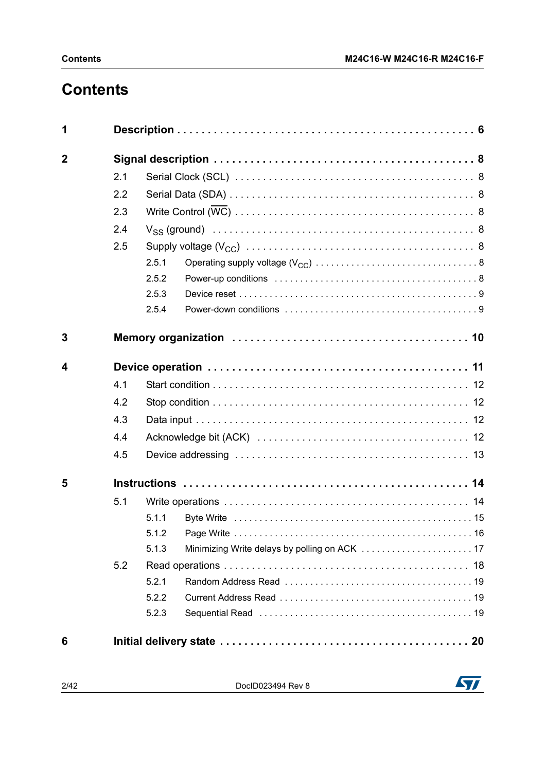# **Contents**

| 1              |     |       |  |  |  |  |  |
|----------------|-----|-------|--|--|--|--|--|
| $\overline{2}$ |     |       |  |  |  |  |  |
|                | 2.1 |       |  |  |  |  |  |
|                | 2.2 |       |  |  |  |  |  |
|                | 2.3 |       |  |  |  |  |  |
|                | 2.4 |       |  |  |  |  |  |
|                | 2.5 |       |  |  |  |  |  |
|                |     | 2.5.1 |  |  |  |  |  |
|                |     | 2.5.2 |  |  |  |  |  |
|                |     | 2.5.3 |  |  |  |  |  |
|                |     | 2.5.4 |  |  |  |  |  |
| 3              |     |       |  |  |  |  |  |
|                |     |       |  |  |  |  |  |
|                | 4.1 |       |  |  |  |  |  |
|                | 4.2 |       |  |  |  |  |  |
|                | 4.3 |       |  |  |  |  |  |
|                | 4.4 |       |  |  |  |  |  |
|                | 4.5 |       |  |  |  |  |  |
| 5              |     |       |  |  |  |  |  |
|                | 5.1 |       |  |  |  |  |  |
|                |     | 5.1.1 |  |  |  |  |  |
|                |     |       |  |  |  |  |  |
| 4              |     | 5.1.3 |  |  |  |  |  |
|                | 5.2 |       |  |  |  |  |  |
|                |     | 5.2.1 |  |  |  |  |  |
|                |     | 5.2.2 |  |  |  |  |  |
|                |     | 5.2.3 |  |  |  |  |  |
| 6              |     |       |  |  |  |  |  |

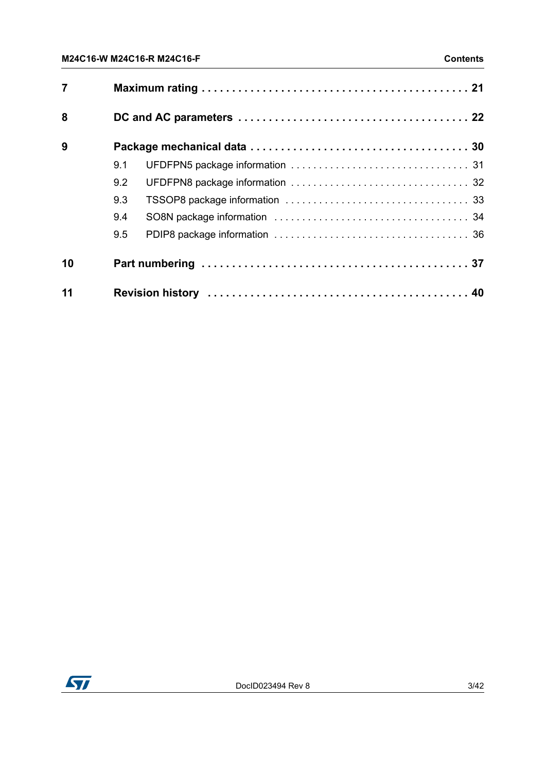| $\overline{7}$ |     |  |
|----------------|-----|--|
| 8              |     |  |
| 9              |     |  |
|                | 9.1 |  |
|                | 9.2 |  |
|                | 9.3 |  |
|                | 9.4 |  |
|                | 9.5 |  |
| 10             |     |  |
| 11             |     |  |

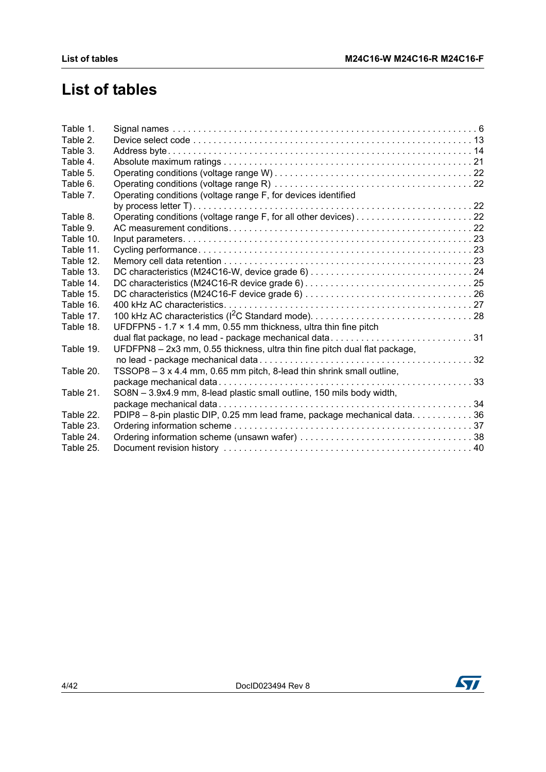# **List of tables**

| Table 1.  |                                                                            |  |
|-----------|----------------------------------------------------------------------------|--|
| Table 2.  |                                                                            |  |
| Table 3.  |                                                                            |  |
| Table 4.  |                                                                            |  |
| Table 5.  |                                                                            |  |
| Table 6.  |                                                                            |  |
| Table 7.  | Operating conditions (voltage range F, for devices identified              |  |
|           |                                                                            |  |
| Table 8.  |                                                                            |  |
| Table 9.  |                                                                            |  |
| Table 10. |                                                                            |  |
| Table 11. |                                                                            |  |
| Table 12. |                                                                            |  |
| Table 13. |                                                                            |  |
| Table 14. |                                                                            |  |
| Table 15. |                                                                            |  |
| Table 16. |                                                                            |  |
| Table 17. |                                                                            |  |
| Table 18. | UFDFPN5 - 1.7 $\times$ 1.4 mm, 0.55 mm thickness, ultra thin fine pitch    |  |
|           | dual flat package, no lead - package mechanical data31                     |  |
| Table 19. | UFDFPN8 - 2x3 mm, 0.55 thickness, ultra thin fine pitch dual flat package, |  |
|           |                                                                            |  |
| Table 20. | TSSOP8 - 3 x 4.4 mm, 0.65 mm pitch, 8-lead thin shrink small outline,      |  |
|           |                                                                            |  |
| Table 21. | SO8N - 3.9x4.9 mm, 8-lead plastic small outline, 150 mils body width,      |  |
|           |                                                                            |  |
| Table 22. | PDIP8 - 8-pin plastic DIP, 0.25 mm lead frame, package mechanical data. 36 |  |
| Table 23. |                                                                            |  |
| Table 24. |                                                                            |  |
| Table 25. |                                                                            |  |

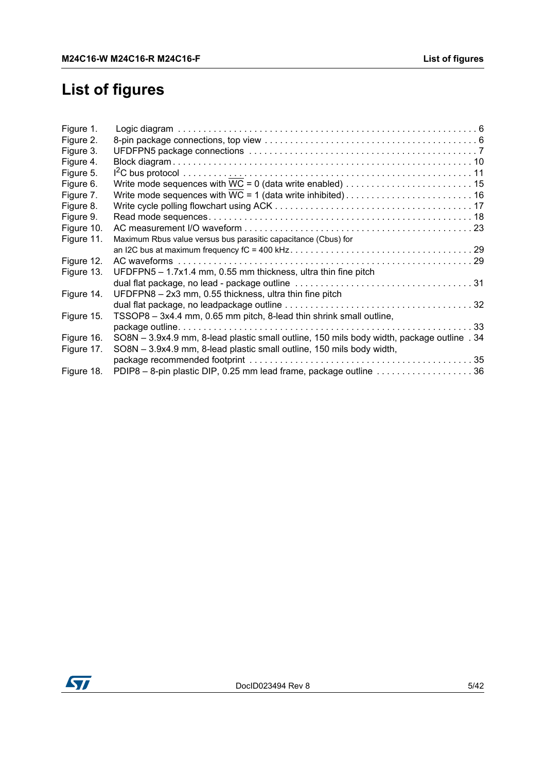# **List of figures**

| Maximum Rbus value versus bus parasitic capacitance (Cbus) for                             |
|--------------------------------------------------------------------------------------------|
|                                                                                            |
|                                                                                            |
| UFDFPN5 - 1.7x1.4 mm, 0.55 mm thickness, ultra thin fine pitch                             |
|                                                                                            |
| UFDFPN8 - 2x3 mm, 0.55 thickness, ultra thin fine pitch                                    |
|                                                                                            |
| TSSOP8 - 3x4.4 mm, 0.65 mm pitch, 8-lead thin shrink small outline,                        |
|                                                                                            |
| SO8N - 3.9x4.9 mm, 8-lead plastic small outline, 150 mils body width, package outline . 34 |
| SO8N - 3.9x4.9 mm, 8-lead plastic small outline, 150 mils body width,                      |
|                                                                                            |
| PDIP8 - 8-pin plastic DIP, 0.25 mm lead frame, package outline 36                          |
|                                                                                            |

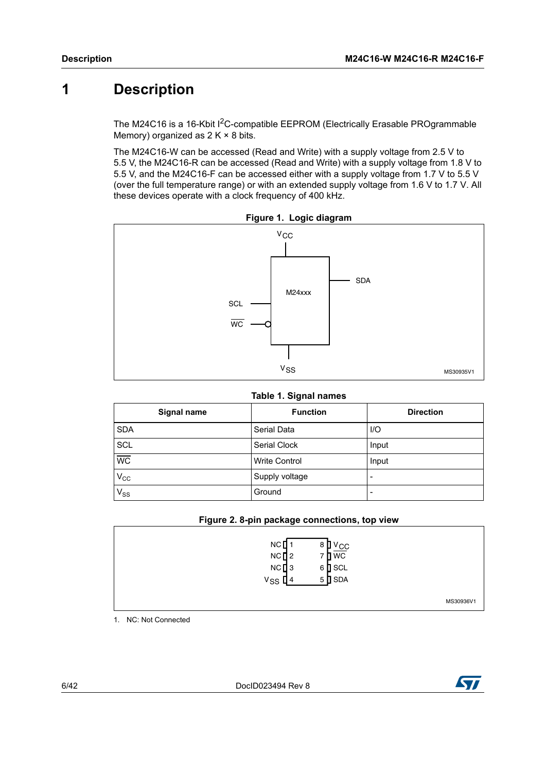# <span id="page-5-0"></span>**1 Description**

The M24C16 is a 16-Kbit I<sup>2</sup>C-compatible EEPROM (Electrically Erasable PROgrammable Memory) organized as  $2 K \times 8$  bits.

The M24C16-W can be accessed (Read and Write) with a supply voltage from 2.5 V to 5.5 V, the M24C16-R can be accessed (Read and Write) with a supply voltage from 1.8 V to 5.5 V, and the M24C16-F can be accessed either with a supply voltage from 1.7 V to 5.5 V (over the full temperature range) or with an extended supply voltage from 1.6 V to 1.7 V. All these devices operate with a clock frequency of 400 kHz.

<span id="page-5-2"></span>

**Figure 1. Logic diagram**

#### **Table 1. Signal names**

<span id="page-5-1"></span>

| Signal name     | <b>Function</b>      | <b>Direction</b> |
|-----------------|----------------------|------------------|
| <b>SDA</b>      | Serial Data          | $U$              |
| SCL             | Serial Clock         | Input            |
| $\overline{WC}$ | <b>Write Control</b> | Input            |
| $V_{\rm CC}$    | Supply voltage       |                  |
| $V_{SS}$        | Ground               |                  |

#### **Figure 2. 8-pin package connections, top view**

<span id="page-5-3"></span>

| NC<br>$NC$ <sup>2</sup><br>$NC$ <sup>3</sup><br>$V_{SS}$ [4 | $V_{\rm CC}$<br>8<br>7 D WC<br>$6$ SCL<br>$5$ SDA |           |
|-------------------------------------------------------------|---------------------------------------------------|-----------|
|                                                             |                                                   | MS30936V1 |

1. NC: Not Connected

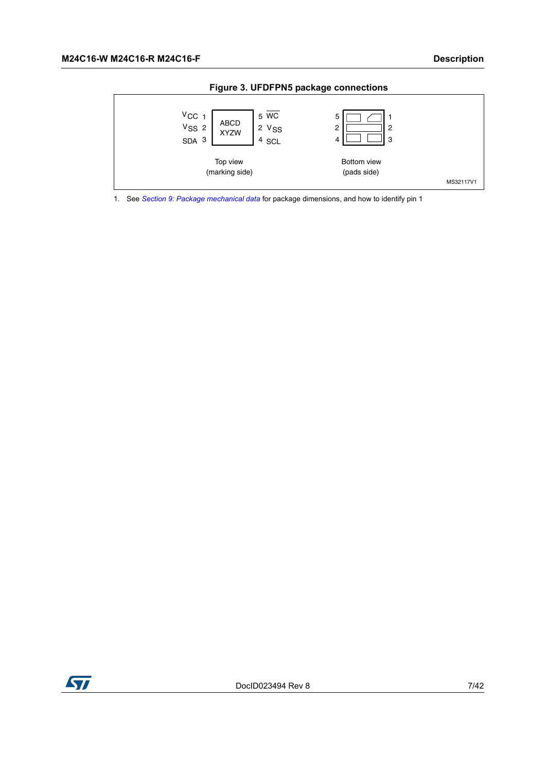<span id="page-6-0"></span>



1. See *[Section 9: Package mechanical data](#page-29-0)* for package dimensions, and how to identify pin 1

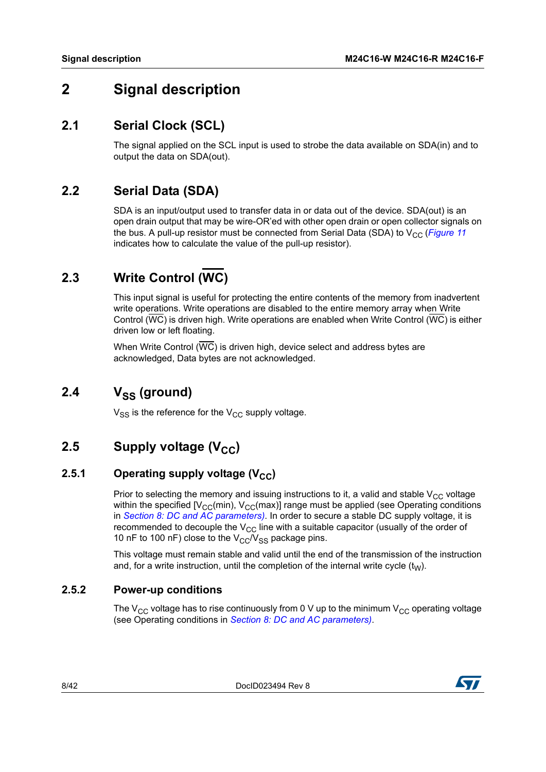# <span id="page-7-0"></span>**2 Signal description**

### <span id="page-7-1"></span>**2.1 Serial Clock (SCL)**

The signal applied on the SCL input is used to strobe the data available on SDA(in) and to output the data on SDA(out).

### <span id="page-7-2"></span>**2.2 Serial Data (SDA)**

SDA is an input/output used to transfer data in or data out of the device. SDA(out) is an open drain output that may be wire-OR'ed with other open drain or open collector signals on the bus. A pull-up resistor must be connected from Serial Data (SDA) to  $V_{CC}$  (*[Figure](#page-28-0) 11* indicates how to calculate the value of the pull-up resistor).

# <span id="page-7-3"></span>**2.3 Write Control (WC)**

This input signal is useful for protecting the entire contents of the memory from inadvertent write operations. Write operations are disabled to the entire memory array when Write Control (WC) is driven high. Write operations are enabled when Write Control (WC) is either driven low or left floating.

When Write Control (WC) is driven high, device select and address bytes are acknowledged, Data bytes are not acknowledged.

# <span id="page-7-4"></span>2.4 V<sub>SS</sub> (ground)

 $V_{SS}$  is the reference for the  $V_{CC}$  supply voltage.

# <span id="page-7-5"></span>**2.5** Supply voltage (V<sub>CC</sub>)

#### <span id="page-7-6"></span>**2.5.1** Operating supply voltage (V<sub>CC</sub>)

Prior to selecting the memory and issuing instructions to it, a valid and stable  $V_{CC}$  voltage within the specified  $[V_{CC}(min), V_{CC}(max)]$  range must be applied (see Operating conditions in *Section [8: DC and AC parameters](#page-21-0))*. In order to secure a stable DC supply voltage, it is recommended to decouple the  $V_{CC}$  line with a suitable capacitor (usually of the order of 10 nF to 100 nF) close to the  $V_{CC}/V_{SS}$  package pins.

This voltage must remain stable and valid until the end of the transmission of the instruction and, for a write instruction, until the completion of the internal write cycle  $(t_W)$ .

#### <span id="page-7-7"></span>**2.5.2 Power-up conditions**

The  $V_{CC}$  voltage has to rise continuously from 0 V up to the minimum  $V_{CC}$  operating voltage (see Operating conditions in *Section [8: DC and AC parameters](#page-21-0))*.

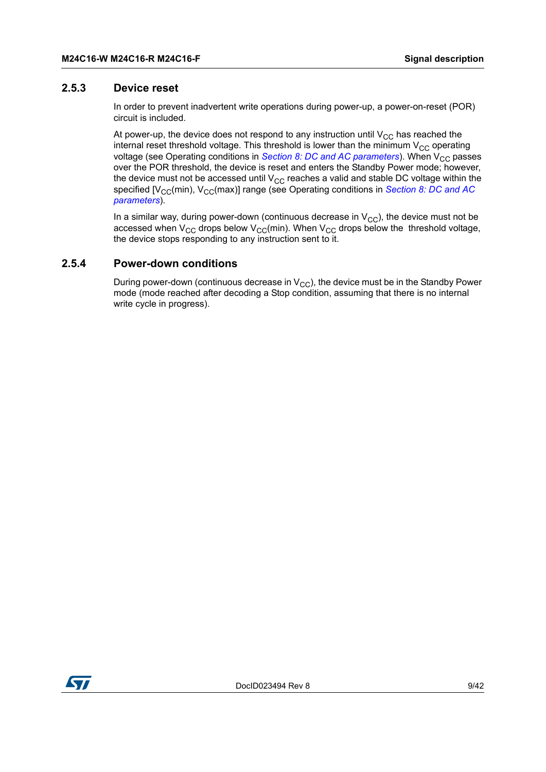#### <span id="page-8-0"></span>**2.5.3 Device reset**

In order to prevent inadvertent write operations during power-up, a power-on-reset (POR) circuit is included.

At power-up, the device does not respond to any instruction until  $V_{CC}$  has reached the internal reset threshold voltage. This threshold is lower than the minimum  $V_{CC}$  operating voltage (see Operating conditions in *Section [8: DC and AC parameters](#page-21-0)*). When V<sub>CC</sub> passes over the POR threshold, the device is reset and enters the Standby Power mode; however, the device must not be accessed until  $V_{CC}$  reaches a valid and stable DC voltage within the specified [V<sub>CC</sub>(min), V<sub>CC</sub>(max)] range (see Operating conditions in *Section 8: DC and AC [parameters](#page-21-0)*).

In a similar way, during power-down (continuous decrease in  $V_{CC}$ ), the device must not be accessed when V<sub>CC</sub> drops below V<sub>CC</sub>(min). When V<sub>CC</sub> drops below the threshold voltage, the device stops responding to any instruction sent to it.

#### <span id="page-8-1"></span>**2.5.4 Power-down conditions**

During power-down (continuous decrease in  $V_{CC}$ ), the device must be in the Standby Power mode (mode reached after decoding a Stop condition, assuming that there is no internal write cycle in progress).

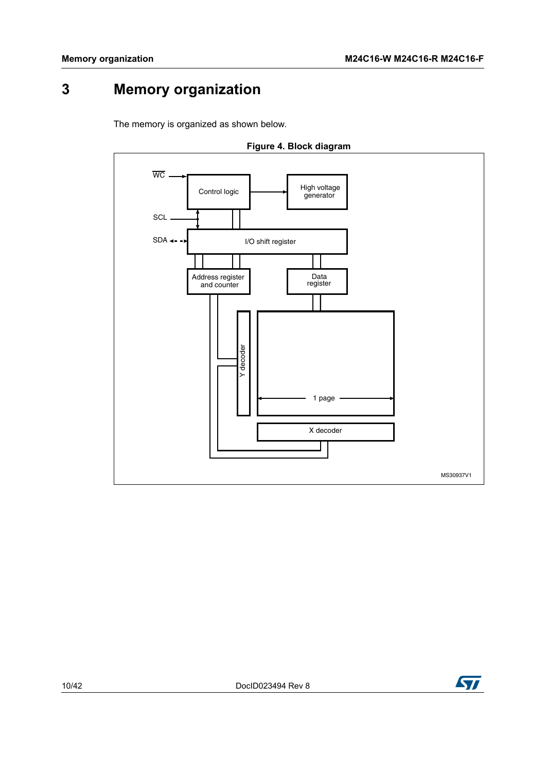# <span id="page-9-0"></span>**3 Memory organization**

The memory is organized as shown below.

<span id="page-9-1"></span>

**Figure 4. Block diagram**

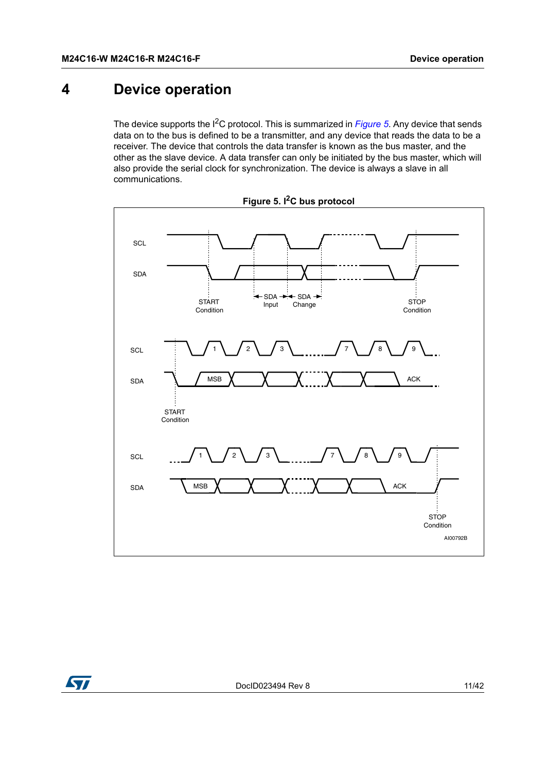# <span id="page-10-0"></span>**4 Device operation**

The device supports the I<sup>2</sup>C protocol. This is summarized in *[Figure](#page-10-1)* 5. Any device that sends data on to the bus is defined to be a transmitter, and any device that reads the data to be a receiver. The device that controls the data transfer is known as the bus master, and the other as the slave device. A data transfer can only be initiated by the bus master, which will also provide the serial clock for synchronization. The device is always a slave in all communications.

<span id="page-10-1"></span>



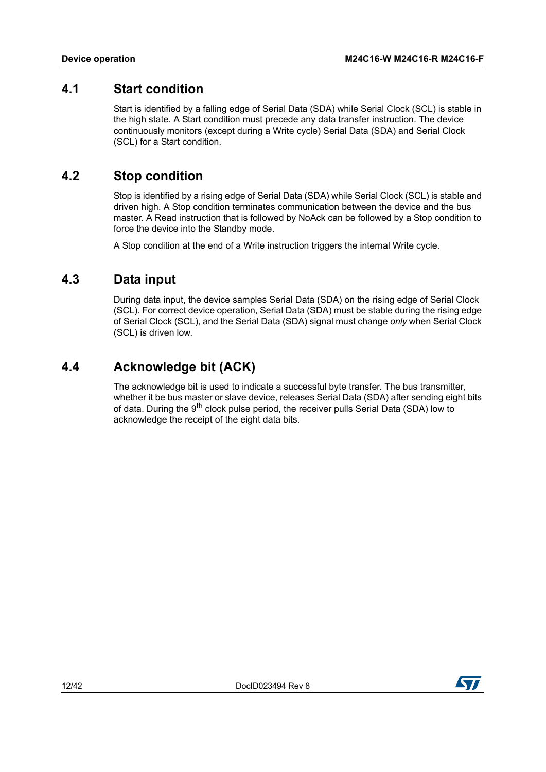### <span id="page-11-0"></span>**4.1 Start condition**

Start is identified by a falling edge of Serial Data (SDA) while Serial Clock (SCL) is stable in the high state. A Start condition must precede any data transfer instruction. The device continuously monitors (except during a Write cycle) Serial Data (SDA) and Serial Clock (SCL) for a Start condition.

### <span id="page-11-1"></span>**4.2 Stop condition**

Stop is identified by a rising edge of Serial Data (SDA) while Serial Clock (SCL) is stable and driven high. A Stop condition terminates communication between the device and the bus master. A Read instruction that is followed by NoAck can be followed by a Stop condition to force the device into the Standby mode.

A Stop condition at the end of a Write instruction triggers the internal Write cycle.

### <span id="page-11-2"></span>**4.3 Data input**

During data input, the device samples Serial Data (SDA) on the rising edge of Serial Clock (SCL). For correct device operation, Serial Data (SDA) must be stable during the rising edge of Serial Clock (SCL), and the Serial Data (SDA) signal must change *only* when Serial Clock (SCL) is driven low.

### <span id="page-11-3"></span>**4.4 Acknowledge bit (ACK)**

The acknowledge bit is used to indicate a successful byte transfer. The bus transmitter, whether it be bus master or slave device, releases Serial Data (SDA) after sending eight bits of data. During the 9<sup>th</sup> clock pulse period, the receiver pulls Serial Data (SDA) low to acknowledge the receipt of the eight data bits.

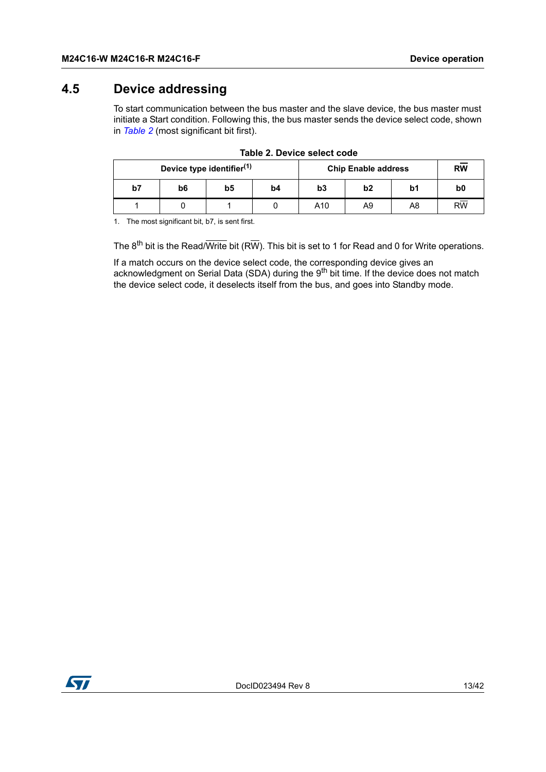### <span id="page-12-0"></span>**4.5 Device addressing**

To start communication between the bus master and the slave device, the bus master must initiate a Start condition. Following this, the bus master sends the device select code, shown in *[Table](#page-12-1) 2* (most significant bit first).

<span id="page-12-1"></span>

| Device type identifier <sup>(1)</sup> |    |    |                |     | <b>Chip Enable address</b> |    | <b>RW</b>       |
|---------------------------------------|----|----|----------------|-----|----------------------------|----|-----------------|
| b7                                    | b6 | b5 | b <sub>4</sub> | b3  | b2                         | b1 | b0              |
|                                       |    |    |                | A10 | A9                         | A8 | $R\overline{W}$ |

|  | Table 2. Device select code |  |
|--|-----------------------------|--|
|  |                             |  |

1. The most significant bit, b7, is sent first.

The  $8^{th}$  bit is the Read/Write bit (RW). This bit is set to 1 for Read and 0 for Write operations.

If a match occurs on the device select code, the corresponding device gives an acknowledgment on Serial Data (SDA) during the 9<sup>th</sup> bit time. If the device does not match the device select code, it deselects itself from the bus, and goes into Standby mode.

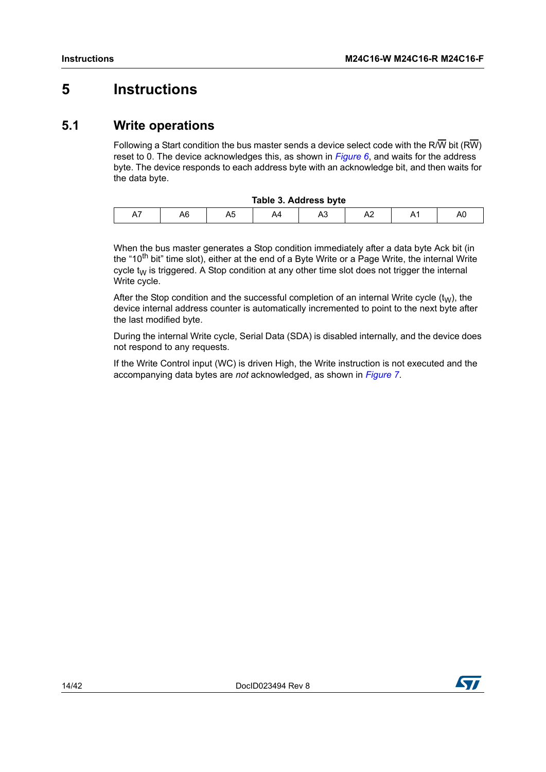# <span id="page-13-0"></span>**5 Instructions**

### <span id="page-13-1"></span>**5.1 Write operations**

Following a Start condition the bus master sends a device select code with the R/W bit (RW) reset to 0. The device acknowledges this, as shown in *[Figure](#page-14-1) 6*, and waits for the address byte. The device responds to each address byte with an acknowledge bit, and then waits for the data byte.

<span id="page-13-2"></span>

| Table 3. Address byte |    |    |    |    |   |  |    |
|-----------------------|----|----|----|----|---|--|----|
| А,                    | A6 | nu | A4 | A3 | ∼ |  | AU |

When the bus master generates a Stop condition immediately after a data byte Ack bit (in the "10<sup>th</sup> bit" time slot), either at the end of a Byte Write or a Page Write, the internal Write cycle  $t_{\text{W}}$  is triggered. A Stop condition at any other time slot does not trigger the internal Write cycle.

After the Stop condition and the successful completion of an internal Write cycle  $(t<sub>W</sub>)$ , the device internal address counter is automatically incremented to point to the next byte after the last modified byte.

During the internal Write cycle, Serial Data (SDA) is disabled internally, and the device does not respond to any requests.

If the Write Control input (WC) is driven High, the Write instruction is not executed and the accompanying data bytes are *not* acknowledged, as shown in *[Figure](#page-15-1) 7*.

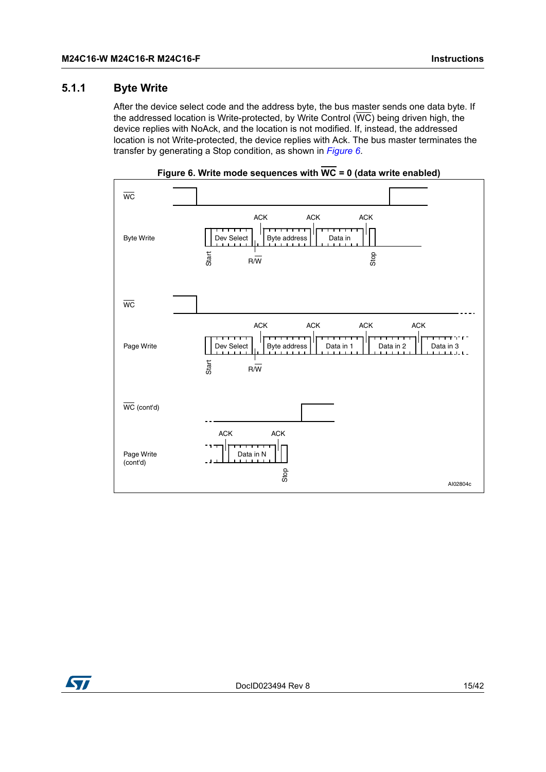#### <span id="page-14-0"></span>**5.1.1 Byte Write**

After the device select code and the address byte, the bus master sends one data byte. If the addressed location is Write-protected, by Write Control  $(\overline{WC})$  being driven high, the device replies with NoAck, and the location is not modified. If, instead, the addressed location is not Write-protected, the device replies with Ack. The bus master terminates the transfer by generating a Stop condition, as shown in *[Figure](#page-14-1) 6*.

<span id="page-14-1"></span>

**Figure 6. Write mode sequences with WC = 0 (data write enabled)**

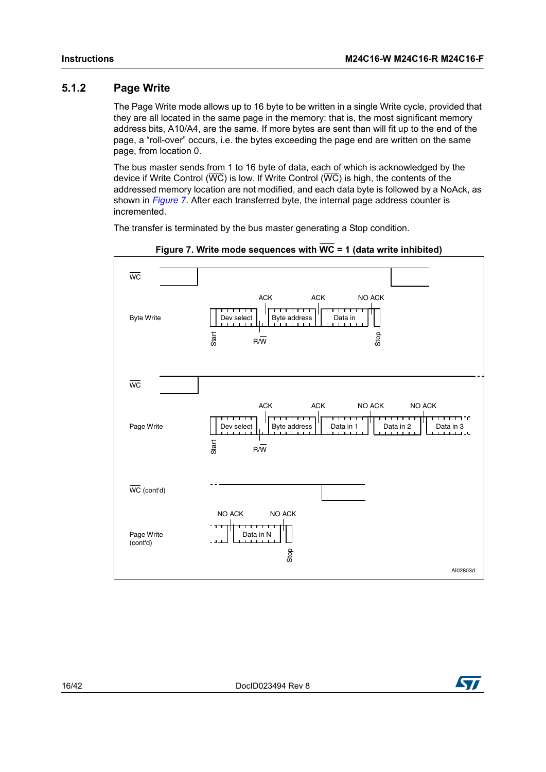#### <span id="page-15-0"></span>**5.1.2 Page Write**

The Page Write mode allows up to 16 byte to be written in a single Write cycle, provided that they are all located in the same page in the memory: that is, the most significant memory address bits, A10/A4, are the same. If more bytes are sent than will fit up to the end of the page, a "roll-over" occurs, i.e. the bytes exceeding the page end are written on the same page, from location 0.

The bus master sends from 1 to 16 byte of data, each of which is acknowledged by the device if Write Control ( $\overline{WC}$ ) is low. If Write Control ( $\overline{WC}$ ) is high, the contents of the addressed memory location are not modified, and each data byte is followed by a NoAck, as shown in *[Figure](#page-15-1) 7*. After each transferred byte, the internal page address counter is incremented.

The transfer is terminated by the bus master generating a Stop condition.

<span id="page-15-1"></span>

**Figure 7. Write mode sequences with WC = 1 (data write inhibited)**

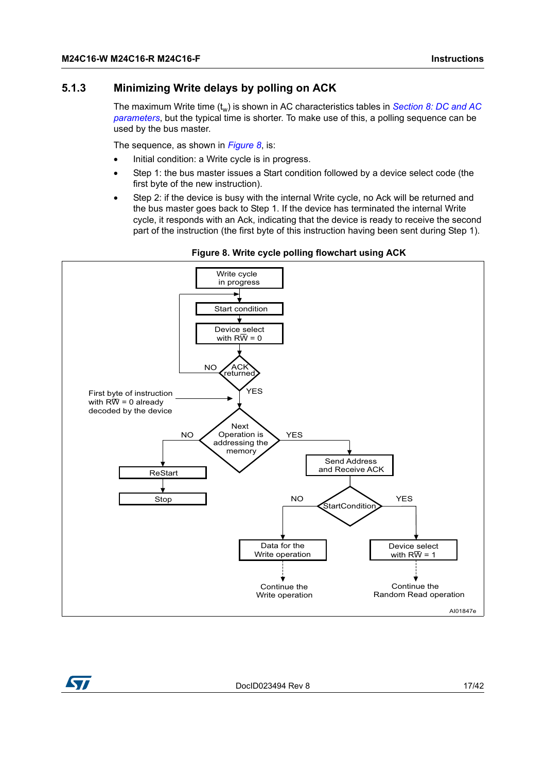#### <span id="page-16-0"></span>**5.1.3 Minimizing Write delays by polling on ACK**

The maximum Write time (t<sub>w</sub>) is shown in AC characteristics tables in *Section 8: DC and AC [parameters](#page-21-0)*, but the typical time is shorter. To make use of this, a polling sequence can be used by the bus master.

The sequence, as shown in *[Figure](#page-16-1) 8*, is:

- Initial condition: a Write cycle is in progress.
- Step 1: the bus master issues a Start condition followed by a device select code (the first byte of the new instruction).
- <span id="page-16-1"></span>Step 2: if the device is busy with the internal Write cycle, no Ack will be returned and the bus master goes back to Step 1. If the device has terminated the internal Write cycle, it responds with an Ack, indicating that the device is ready to receive the second part of the instruction (the first byte of this instruction having been sent during Step 1).



**Figure 8. Write cycle polling flowchart using ACK**



DocID023494 Rev 8 17/42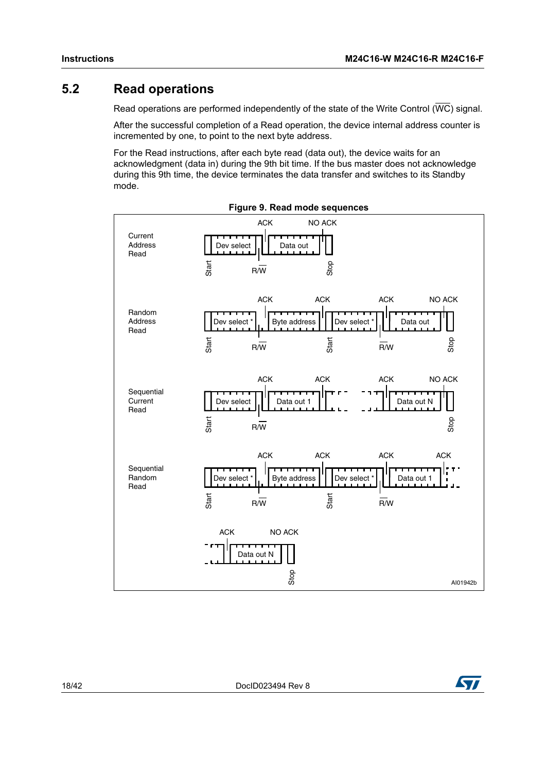### <span id="page-17-0"></span>**5.2 Read operations**

Read operations are performed independently of the state of the Write Control ( $\overline{WC}$ ) signal.

After the successful completion of a Read operation, the device internal address counter is incremented by one, to point to the next byte address.

For the Read instructions, after each byte read (data out), the device waits for an acknowledgment (data in) during the 9th bit time. If the bus master does not acknowledge during this 9th time, the device terminates the data transfer and switches to its Standby mode.

<span id="page-17-1"></span>



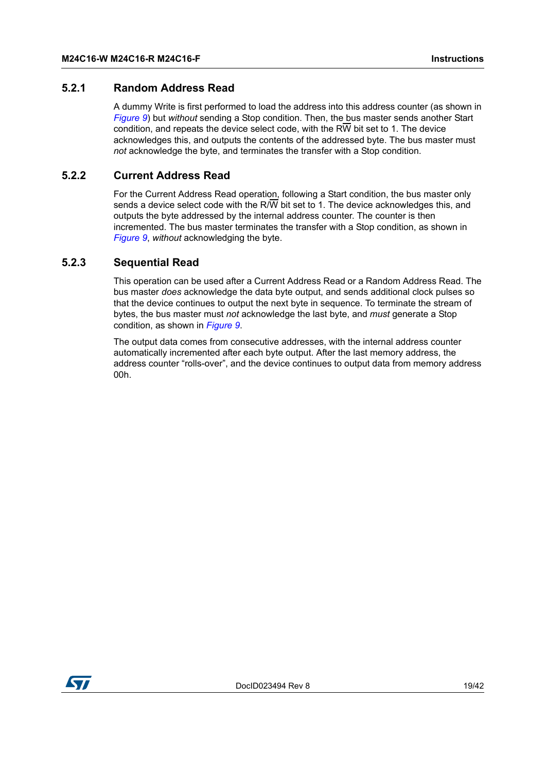#### <span id="page-18-0"></span>**5.2.1 Random Address Read**

A dummy Write is first performed to load the address into this address counter (as shown in *[Figure](#page-17-1) 9*) but *without* sending a Stop condition. Then, the bus master sends another Start condition, and repeats the device select code, with the RW bit set to 1. The device acknowledges this, and outputs the contents of the addressed byte. The bus master must *not* acknowledge the byte, and terminates the transfer with a Stop condition.

#### <span id="page-18-1"></span>**5.2.2 Current Address Read**

For the Current Address Read operation, following a Start condition, the bus master only sends a device select code with the R/W bit set to 1. The device acknowledges this, and outputs the byte addressed by the internal address counter. The counter is then incremented. The bus master terminates the transfer with a Stop condition, as shown in *[Figure](#page-17-1) 9*, *without* acknowledging the byte.

#### <span id="page-18-2"></span>**5.2.3 Sequential Read**

This operation can be used after a Current Address Read or a Random Address Read. The bus master *does* acknowledge the data byte output, and sends additional clock pulses so that the device continues to output the next byte in sequence. To terminate the stream of bytes, the bus master must *not* acknowledge the last byte, and *must* generate a Stop condition, as shown in *[Figure](#page-17-1) 9*.

The output data comes from consecutive addresses, with the internal address counter automatically incremented after each byte output. After the last memory address, the address counter "rolls-over", and the device continues to output data from memory address 00h.

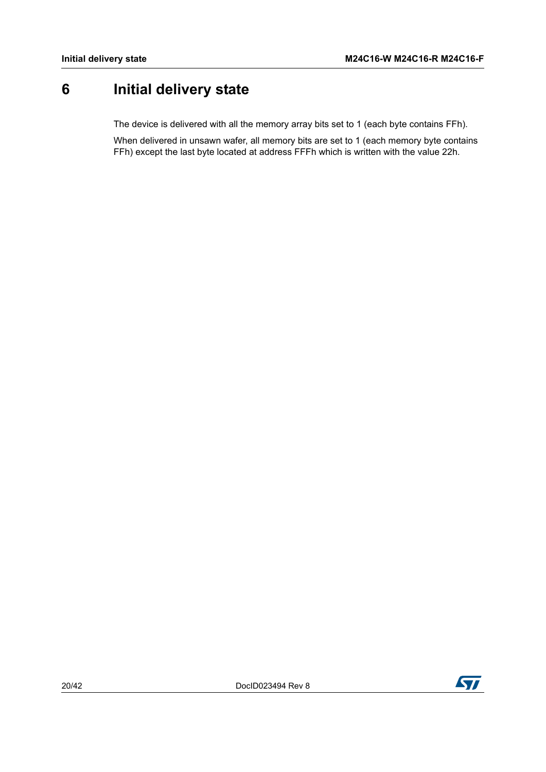# <span id="page-19-0"></span>**6 Initial delivery state**

The device is delivered with all the memory array bits set to 1 (each byte contains FFh).

When delivered in unsawn wafer, all memory bits are set to 1 (each memory byte contains FFh) except the last byte located at address FFFh which is written with the value 22h.

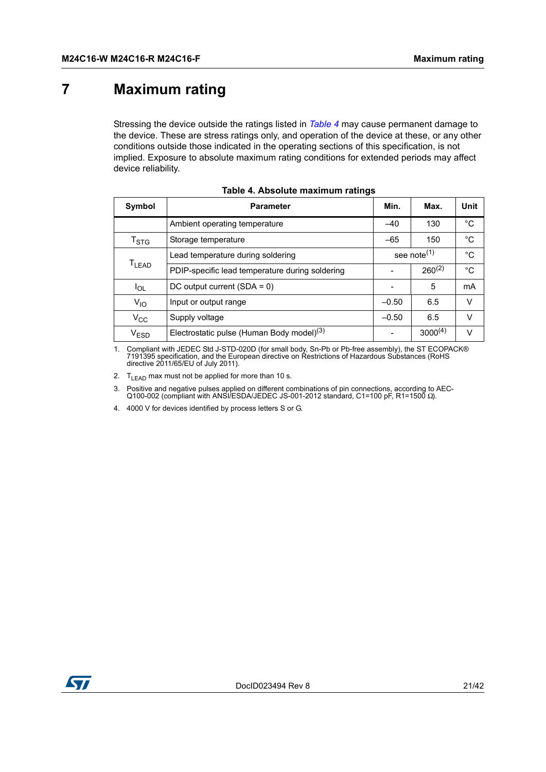# <span id="page-20-0"></span>**7 Maximum rating**

Stressing the device outside the ratings listed in *[Table](#page-20-1) 4* may cause permanent damage to the device. These are stress ratings only, and operation of the device at these, or any other conditions outside those indicated in the operating sections of this specification, is not implied. Exposure to absolute maximum rating conditions for extended periods may affect device reliability.

<span id="page-20-1"></span>

| <b>Symbol</b>             | <b>Parameter</b>                                      | Min.    | Max.                    | Unit        |
|---------------------------|-------------------------------------------------------|---------|-------------------------|-------------|
|                           | Ambient operating temperature                         | $-40$   | 130                     | °C          |
| $\mathsf{T}_{\text{STG}}$ | Storage temperature                                   | $-65$   | 150                     | $^{\circ}C$ |
| T <sub>LEAD</sub>         | Lead temperature during soldering                     |         | see note <sup>(1)</sup> |             |
|                           | PDIP-specific lead temperature during soldering       |         | $260^{(2)}$             | $^{\circ}C$ |
| $I_{OL}$                  | DC output current $(SDA = 0)$                         |         | 5                       | mA          |
| $V_{10}$                  | Input or output range                                 | $-0.50$ | 6.5                     | v           |
| $V_{\rm CC}$              | Supply voltage                                        | $-0.50$ | 6.5                     | v           |
| <b>VESD</b>               | Electrostatic pulse (Human Body model) <sup>(3)</sup> |         | $3000^{(4)}$            | v           |

|  |  | Table 4. Absolute maximum ratings |  |
|--|--|-----------------------------------|--|
|--|--|-----------------------------------|--|

1. Compliant with JEDEC Std J-STD-020D (for small body, Sn-Pb or Pb-free assembly), the ST ECOPACK® 7191395 specification, and the European directive on Restrictions of Hazardous Substances (RoHS directive 2011/65/EU of July 2011).

2.  $T_{LEAD}$  max must not be applied for more than 10 s.

3. Positive and negative pulses applied on different combinations of pin connections, according to AEC-Q100-002 (compliant with ANSI/ESDA/JEDEC JS-001-2012 standard, C1=100 pF, R1=1500 Ω).

4. 4000 V for devices identified by process letters S or G.

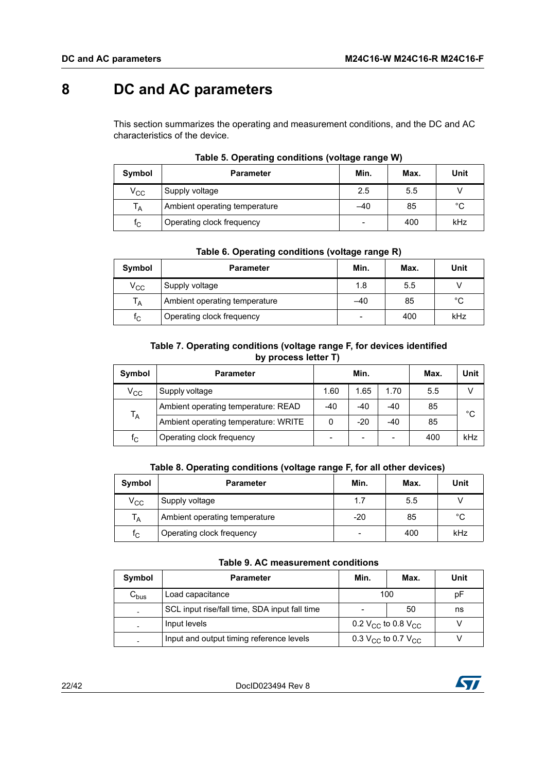# <span id="page-21-0"></span>**8 DC and AC parameters**

This section summarizes the operating and measurement conditions, and the DC and AC characteristics of the device.

<span id="page-21-1"></span>

| Symbol       | <b>Parameter</b>              | Min. | Max. | Unit        |
|--------------|-------------------------------|------|------|-------------|
| $\rm v_{cc}$ | Supply voltage                | 2.5  | 5.5  |             |
| $T_A$        | Ambient operating temperature | -40  | 85   | $^{\circ}C$ |
| $f_{\rm C}$  | Operating clock frequency     | -    | 400  | kHz         |

#### **Table 5. Operating conditions (voltage range W)**

#### **Table 6. Operating conditions (voltage range R)**

<span id="page-21-2"></span>

| Symbol                  | <b>Parameter</b>              | Min.  | Max. | Unit |
|-------------------------|-------------------------------|-------|------|------|
| $\rm v_{cc}$            | Supply voltage                | 1.8   | 5.5  |      |
| $T_A$                   | Ambient operating temperature | $-40$ | 85   | °C   |
| $\mathsf{f}_\mathsf{C}$ | Operating clock frequency     |       | 400  | kHz  |

#### **Table 7. Operating conditions (voltage range F, for devices identified by process letter T)**

<span id="page-21-3"></span>

| Symbol                  | <b>Parameter</b>                     | Min.  |       | Max.  | Unit |               |  |
|-------------------------|--------------------------------------|-------|-------|-------|------|---------------|--|
| $\rm v_{cc}$            | Supply voltage                       | 1.60  | 1.65  | 1.70  | 5.5  | $\mathcal{L}$ |  |
| $T_A$                   | Ambient operating temperature: READ  | $-40$ | $-40$ | $-40$ | 85   | °C            |  |
|                         | Ambient operating temperature: WRITE | 0     | $-20$ | $-40$ | 85   |               |  |
| $\mathsf{f}_\mathsf{C}$ | Operating clock frequency            |       |       |       | 400  | kHz           |  |

#### **Table 8. Operating conditions (voltage range F, for all other devices)**

<span id="page-21-4"></span>

| Symbol                  | <b>Parameter</b>              | Min.                     | Max. | Unit |
|-------------------------|-------------------------------|--------------------------|------|------|
| $\rm v_{cc}$            | Supply voltage                | 1.7                      | 5.5  |      |
| Т <sub>А</sub>          | Ambient operating temperature | $-20$                    | 85   | °C   |
| $\mathsf{f}_\mathsf{C}$ | Operating clock frequency     | $\overline{\phantom{0}}$ | 400  | kHz  |

|  |  |  | Table 9. AC measurement conditions |  |
|--|--|--|------------------------------------|--|
|--|--|--|------------------------------------|--|

<span id="page-21-5"></span>

| Symbol          | <b>Parameter</b>                                                                       | Min. | Max. | Unit |
|-----------------|----------------------------------------------------------------------------------------|------|------|------|
| ${\tt C_{bus}}$ | Load capacitance                                                                       | 100  |      | рF   |
|                 | SCL input rise/fall time, SDA input fall time                                          | -    | 50   | ns   |
|                 | Input levels<br>0.2 $V_{CC}$ to 0.8 $V_{CC}$                                           |      |      |      |
|                 | Input and output timing reference levels<br>0.3 V <sub>CC</sub> to 0.7 V <sub>CC</sub> |      |      |      |

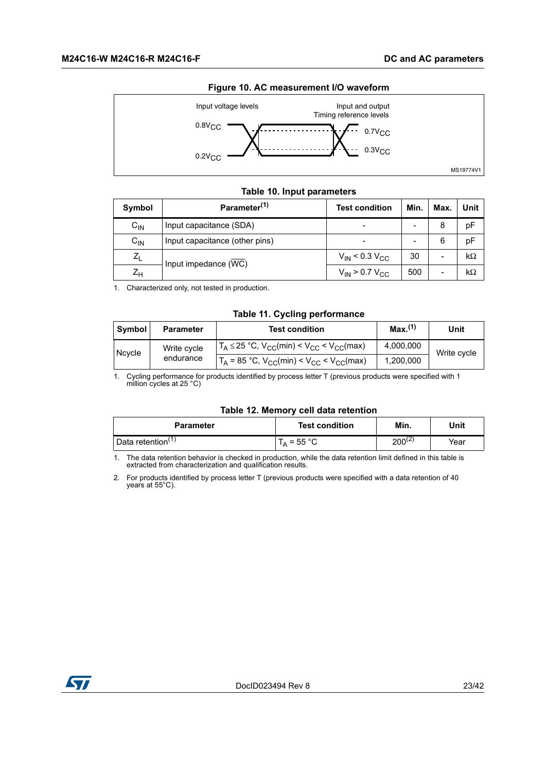<span id="page-22-3"></span>

#### **Figure 10. AC measurement I/O waveform**

#### **Table 10. Input parameters**

<span id="page-22-0"></span>

| Symbol           | Parameter <sup>(1)</sup>       | <b>Test condition</b>   | Min. | Max. | Unit      |
|------------------|--------------------------------|-------------------------|------|------|-----------|
| $C_{IN}$         | Input capacitance (SDA)        |                         |      | 8    | pF        |
| $C_{\text{IN}}$  | Input capacitance (other pins) |                         | ۰    | 6    | pF        |
| $Z_{\mathsf{I}}$ |                                | $V_{IN}$ < 0.3 $V_{CC}$ | 30   |      | $k\Omega$ |
| $Z_{H}$          | Input impedance (WC)           | $V_{IN}$ > 0.7 $V_{CC}$ | 500  |      | kΩ        |

1. Characterized only, not tested in production.

#### **Table 11. Cycling performance**

<span id="page-22-1"></span>

| Symbol              | <b>Parameter</b>                                    | <b>Test condition</b>                                 | Max. <sup>(1)</sup> | Unit        |
|---------------------|-----------------------------------------------------|-------------------------------------------------------|---------------------|-------------|
|                     | Write cycle                                         | $T_A \le 25$ °C, $V_{CC}(min) < V_{CC} < V_{CC}(max)$ | 4,000,000           | Write cycle |
| Ncycle<br>endurance | $T_A$ = 85 °C, $V_{CC}(min) < V_{CC} < V_{CC}(max)$ | 1,200,000                                             |                     |             |

1. Cycling performance for products identified by process letter T (previous products were specified with 1 million cycles at 25 °C)

#### **Table 12. Memory cell data retention**

<span id="page-22-2"></span>

| <b>Parameter</b>              | <b>Test condition</b> | Min.        | Unit |
|-------------------------------|-----------------------|-------------|------|
| Data retention <sup>(1)</sup> | $\lambda$ = 55 °C .   | $200^{(2)}$ | Year |

1. The data retention behavior is checked in production, while the data retention limit defined in this table is extracted from characterization and qualification results.

2. For products identified by process letter T (previous products were specified with a data retention of 40 years at 55°C).

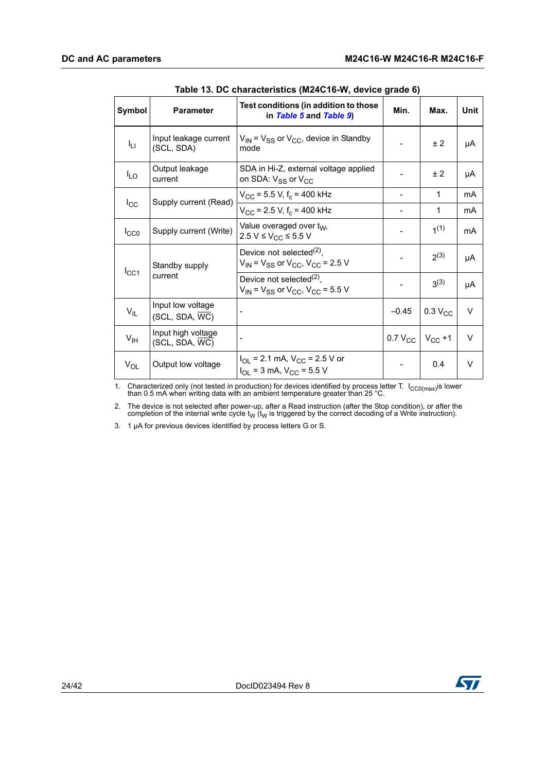<span id="page-23-0"></span>

| Symbol                            | <b>Parameter</b>                                                                     | Test conditions (in addition to those<br>in Table 5 and Table 9)            | Min.                     | Max.             | Unit   |
|-----------------------------------|--------------------------------------------------------------------------------------|-----------------------------------------------------------------------------|--------------------------|------------------|--------|
| Iц                                | Input leakage current<br>(SCL, SDA)                                                  | $V_{IN}$ = $V_{SS}$ or $V_{CC}$ , device in Standby<br>mode                 |                          | ±2               | μA     |
| $I_{LO}$                          | Output leakage<br>current                                                            | SDA in Hi-Z, external voltage applied<br>on SDA: $V_{SS}$ or $V_{CC}$       |                          | ± 2              | μA     |
|                                   | Supply current (Read)                                                                | $V_{\rm CC}$ = 5.5 V, f <sub>c</sub> = 400 kHz                              |                          | 1                | mA     |
| $I_{\rm CC}$                      |                                                                                      | $V_{\rm CC}$ = 2.5 V, f <sub>c</sub> = 400 kHz                              |                          | 1                | mA     |
| $I_{CC0}$                         | Supply current (Write)                                                               | Value overaged over t <sub>W</sub> ,<br>2.5 V ≤ V <sub>CC</sub> ≤ 5.5 V     |                          | 1 <sup>(1)</sup> | mA     |
| Standby supply<br>ICC1<br>current | Device not selected $^{(2)}$ ,<br>$V_{IN}$ = $V_{SS}$ or $V_{CC}$ , $V_{CC}$ = 2.5 V |                                                                             | 2(3)                     | μA               |        |
|                                   | Device not selected $^{(2)}$ ,<br>$V_{IN}$ = $V_{SS}$ or $V_{CC}$ , $V_{CC}$ = 5.5 V |                                                                             | $3^{(3)}$                | μA               |        |
| $V_{IL}$                          | Input low voltage<br>(SCL, SDA, WC)                                                  |                                                                             | $-0.45$                  | $0.3 V_{CC}$     | $\vee$ |
| $V_{\text{IH}}$                   | Input high voltage<br>(SCL, SDA, WC)                                                 |                                                                             | 0.7 $V_{CC}$ $V_{CC}$ +1 |                  | $\vee$ |
| $V_{OL}$                          | Output low voltage                                                                   | $I_{OL}$ = 2.1 mA, $V_{CC}$ = 2.5 V or<br>$I_{OL}$ = 3 mA, $V_{CC}$ = 5.5 V |                          | 0.4              | $\vee$ |

| Table 13. DC characteristics (M24C16-W, device grade 6) |  |  |  |
|---------------------------------------------------------|--|--|--|
|---------------------------------------------------------|--|--|--|

1. Characterized only (not tested in production) for devices identified by process letter T.  $I_{CC0(max)}$ is lower than 0.5 mA when writing data with an ambient temperature greater than 25 °C.

2. The device is not selected after power-up, after a Read instruction (after the Stop condition), or after the completion of the internal write cycle  $t_W$  ( $t_W$  is triggered by the correct decoding of a Write instruction).

3. 1 µA for previous devices identified by process letters G or S.

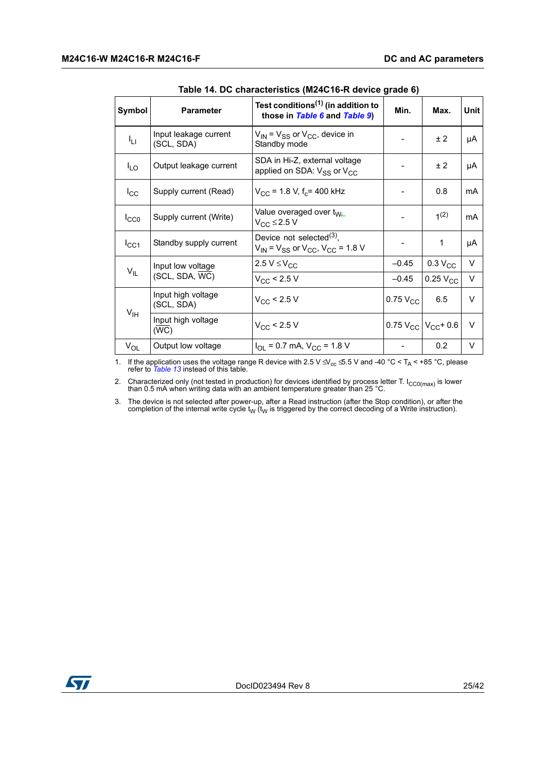<span id="page-24-0"></span>

| Symbol          | <b>Parameter</b>                    | Test conditions <sup>(1)</sup> (in addition to<br>those in Table 6 and Table 9)      | Min.                   | Max.                         | Unit   |
|-----------------|-------------------------------------|--------------------------------------------------------------------------------------|------------------------|------------------------------|--------|
| ŀц              | Input leakage current<br>(SCL, SDA) | $V_{\text{IN}}$ = $V_{SS}$ or $V_{CC}$ , device in<br>Standby mode                   |                        | ± 2                          | μA     |
| $I_{LO}$        | Output leakage current              | SDA in Hi-Z, external voltage<br>applied on SDA: $V_{SS}$ or $V_{CC}$                |                        | ± 2                          | μA     |
| $I_{\rm CC}$    | Supply current (Read)               | $V_{\rm CC}$ = 1.8 V, f <sub>c</sub> = 400 kHz                                       |                        | 0.8                          | mA     |
| $I_{CC0}$       | Supply current (Write)              | Value overaged over t <sub>W<sub>1</sub></sub><br>$V_{CC} \leq 2.5 V$                |                        | 1 <sup>(2)</sup>             | mA     |
| $I_{CC1}$       | Standby supply current              | Device not selected $^{(3)}$ ,<br>$V_{IN}$ = $V_{SS}$ or $V_{CC}$ , $V_{CC}$ = 1.8 V |                        | 1                            | μA     |
|                 | Input low voltage                   | 2.5 $V \leq V_{CC}$                                                                  | $-0.45$                | $0.3 V_{CC}$                 | $\vee$ |
| $V_{IL}$        | (SCL, SDA, WC)                      | $V_{CC}$ < 2.5 V                                                                     | $-0.45$                | $0.25$ $V_{CC}$              | $\vee$ |
|                 | Input high voltage<br>(SCL, SDA)    | $V_{\rm CC}$ < 2.5 V                                                                 | $0.75$ V <sub>CC</sub> | 6.5                          | v      |
| V <sub>IH</sub> | Input high voltage<br>(WC)          | $V_{\rm CC}$ < 2.5 V                                                                 |                        | 0.75 $V_{CC}$ $V_{CC}$ + 0.6 | $\vee$ |
| $V_{OL}$        | Output low voltage                  | $I_{OL}$ = 0.7 mA, $V_{CC}$ = 1.8 V                                                  |                        | 0.2                          | V      |

**Table 14. DC characteristics (M24C16-R device grade 6)**

1. If the application uses the voltage range R device with 2.5 V ≤ V<sub>cc</sub> ≤ 5.5 V and -40 °C < T<sub>A</sub> < +85 °C, please refer to *[Table 13](#page-23-0)* instead of this table.

2. Characterized only (not tested in production) for devices identified by process letter T.  $I_{CC0(max)}$  is lower than 0.5 mA when writing data with an ambient temperature greater than 25 °C.

3. The device is not selected after power-up, after a Read instruction (after the Stop condition), or after the completion of the internal write cycle  $t<sub>W</sub>$  is triggered by the correct decoding of a Write instruction

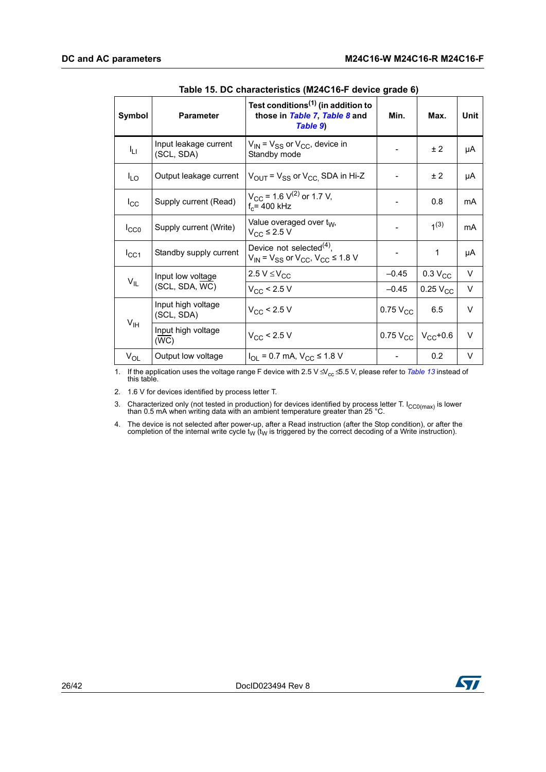<span id="page-25-0"></span>

| Symbol          | <b>Parameter</b>                    | Test conditions <sup>(1)</sup> (in addition to<br>those in Table 7, Table 8 and<br>Table 9) | Min.                        | Max.                | <b>Unit</b> |
|-----------------|-------------------------------------|---------------------------------------------------------------------------------------------|-----------------------------|---------------------|-------------|
| Iц              | Input leakage current<br>(SCL, SDA) | $V_{IN}$ = $V_{SS}$ or $V_{CC}$ , device in<br>Standby mode                                 |                             | ±2                  | μA          |
| $I_{LO}$        | Output leakage current              | $V_{\text{OUT}}$ = $V_{SS}$ or $V_{\text{CC}}$ SDA in Hi-Z                                  |                             | ±2                  | μA          |
| $I_{\rm CC}$    | Supply current (Read)               | $V_{CC}$ = 1.6 V <sup>(2)</sup> or 1.7 V,<br>$f_c = 400$ kHz                                |                             | 0.8                 | mA          |
| $I_{CC0}$       | Supply current (Write)              | Value overaged over t <sub>W</sub> ,<br>$V_{CC}$ ≤ 2.5 V                                    |                             | 1 <sup>(3)</sup>    | mA          |
| $I_{CC1}$       | Standby supply current              | Device not selected $(4)$ ,<br>$V_{IN}$ = $V_{SS}$ or $V_{CC}$ , $V_{CC} \le 1.8$ V         |                             | 1                   | μA          |
|                 | Input low voltage                   | 2.5 $V \leq V_{CC}$                                                                         | $-0.45$                     | 0.3 V <sub>CC</sub> | V           |
| $V_{IL}$        | (SCL, SDA, WC)                      | $V_{\rm CC}$ < 2.5 V                                                                        | $-0.45$                     | $0.25$ $V_{CC}$     | V           |
|                 | Input high voltage<br>(SCL, SDA)    | $V_{CC}$ < 2.5 V                                                                            | $0.75$ $V_{CC}$             | 6.5                 | V           |
| $V_{\text{IH}}$ | Input high voltage<br>(WC)          | $V_{CC}$ < 2.5 V                                                                            | 0.75 $V_{CC}$ $V_{CC}$ +0.6 |                     | $\vee$      |
| $V_{OL}$        | Output low voltage                  | $I_{OL}$ = 0.7 mA, $V_{CC}$ ≤ 1.8 V                                                         |                             | 0.2                 | V           |

|  | Table 15. DC characteristics (M24C16-F device grade 6) |  |  |
|--|--------------------------------------------------------|--|--|
|  |                                                        |  |  |

1. If the application uses the voltage range F device with 2.5 V ≤ V<sub>cc</sub> ≤ 5.5 V, please refer to *[Table 13](#page-23-0)* instead of this table.

2. 1.6 V for devices identified by process letter T.

3. Characterized only (not tested in production) for devices identified by process letter T.  $I_{CC0(max)}$  is lower than 0.5 mA when writing data with an ambient temperature greater than 25 °C.

4. The device is not selected after power-up, after a Read instruction (after the Stop condition), or after the completion of the internal write cycle  $t<sub>W</sub>$  is triggered by the correct decoding of a Write instruction

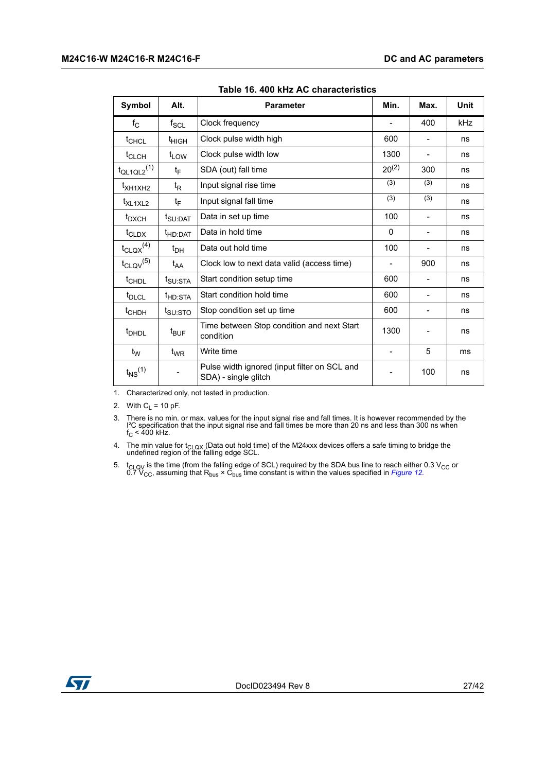<span id="page-26-0"></span>

| Symbol                      | Alt.                        | <b>Parameter</b>                                                     | Min.       | Max.                     | <b>Unit</b> |
|-----------------------------|-----------------------------|----------------------------------------------------------------------|------------|--------------------------|-------------|
| $f_{\rm C}$                 | $\mathsf{f}_{\mathsf{SCL}}$ | Clock frequency                                                      |            | 400                      | kHz         |
| $t_{CHCL}$                  | $t_{\text{HIGH}}$           | Clock pulse width high                                               | 600        |                          | ns          |
| <sup>t</sup> CLCH           | $t_{LOW}$                   | Clock pulse width low                                                | 1300       |                          | ns          |
| $t_{QL1QL2}$ <sup>(1)</sup> | tF                          | SDA (out) fall time                                                  | $20^{(2)}$ | 300                      | ns          |
| t <sub>XH1XH2</sub>         | t <sub>R</sub>              | Input signal rise time                                               | (3)        | (3)                      | ns          |
| t <sub>XL1XL2</sub>         | tF                          | Input signal fall time                                               | (3)        | (3)                      | ns          |
| $t_{\text{DXCH}}$           | t <sub>SU:DAT</sub>         | Data in set up time                                                  | 100        | -                        | ns          |
| $t_{CLDX}$                  | t <sub>HD:DAT</sub>         | Data in hold time                                                    | 0          | $\overline{\phantom{0}}$ | ns          |
| $t_{\text{CLQX}}^{(4)}$     | $t_{DH}$                    | Data out hold time                                                   | 100        |                          | ns          |
| $t_{\text{CLQV}}^{(5)}$     | $t_{AA}$                    | Clock low to next data valid (access time)                           | Ξ.         | 900                      | ns          |
| $t$ CHDL                    | $t_{\text{SU:STA}}$         | Start condition setup time                                           | 600        |                          | ns          |
| t <sub>DLCL</sub>           | t <sub>HD:STA</sub>         | Start condition hold time                                            | 600        |                          | ns          |
| t <sub>CHDH</sub>           | t <sub>SU:STO</sub>         | Stop condition set up time                                           | 600        |                          | ns          |
| <sup>t</sup> DHDL           | $t_{\mathsf{BUF}}$          | Time between Stop condition and next Start<br>condition              | 1300       |                          | ns          |
| t <sub>w</sub>              | $t_{WR}$                    | Write time                                                           |            | 5                        | ms          |
| $t_{NS}$ <sup>(1)</sup>     |                             | Pulse width ignored (input filter on SCL and<br>SDA) - single glitch |            | 100                      | ns          |

**Table 16. 400 kHz AC characteristics** 

1. Characterized only, not tested in production.

2. With  $C_L$  = 10 pF.

3. There is no min. or max. values for the input signal rise and fall times. It is however recommended by the I<sup>2</sup>C specification that the input signal rise and fall times be more than 20 ns and less than 300 ns when  $f_C <$ 

4. The min value for t<sub>CLQX</sub> (Data out hold time) of the M24xxx devices offers a safe timing to bridge the undefined region of the falling edge SCL.

5. t<sub>CLQV</sub> is the time (from the falling edge of SCL) required by the SDA bus line to reach either 0.3 V<sub>CC</sub> or 0.7 V<sub>CC</sub>, assuming that R<sub>bus</sub> × C<sub>bus</sub> time constant is within the values specified in *[Figure 12](#page-28-1).* 

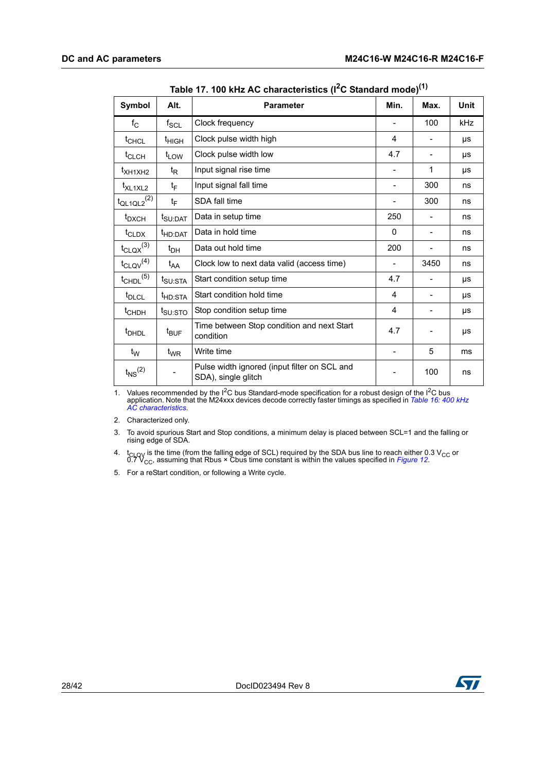<span id="page-27-0"></span>

| Symbol                      | Alt.                | <b>Parameter</b>                                                    | Min.                     | Max. | <b>Unit</b> |
|-----------------------------|---------------------|---------------------------------------------------------------------|--------------------------|------|-------------|
| $f_{\rm C}$                 | $f_{\rm SCL}$       | Clock frequency                                                     |                          | 100  | <b>kHz</b>  |
| t <sub>CHCL</sub>           | $t_{HIGH}$          | Clock pulse width high                                              | 4                        |      | μs          |
| $t_{CLCH}$                  | $t_{LOW}$           | Clock pulse width low                                               | 4.7                      |      | μs          |
| $t_{\text{XH1XH2}}$         | $t_{\mathsf{R}}$    | Input signal rise time                                              |                          | 1    | μs          |
| t <sub>XL1XL2</sub>         | $t_F$               | Input signal fall time                                              | $\overline{\phantom{0}}$ | 300  | ns          |
| $t_{QL1QL2}$ <sup>(2)</sup> | $t_F$               | SDA fall time                                                       |                          | 300  | ns          |
| t <sub>DXCH</sub>           | t <sub>SU:DAT</sub> | Data in setup time                                                  | 250                      |      | ns          |
| $t_{CLDX}$                  | t <sub>HD:DAT</sub> | Data in hold time                                                   | 0                        |      | ns          |
| $t_{\text{CLQX}}^{(3)}$     | $t_{\text{DH}}$     | Data out hold time                                                  | 200                      |      | ns          |
| $t_{\text{CLQV}}^{(4)}$     | $t_{AA}$            | Clock low to next data valid (access time)                          | $\overline{\phantom{a}}$ | 3450 | ns          |
| $t_{\text{CHDL}}^{(5)}$     | t <sub>SU:STA</sub> | Start condition setup time                                          | 4.7                      |      | μs          |
| t <sub>DLCL</sub>           | t <sub>HD:STA</sub> | Start condition hold time                                           | 4                        |      | μs          |
| t <sub>CHDH</sub>           | t <sub>SU:STO</sub> | Stop condition setup time                                           | 4                        |      | μs          |
| <sup>t</sup> DHDL           | $t_{\text{BUF}}$    | Time between Stop condition and next Start<br>condition             | 4.7                      |      | μs          |
| $t_W$                       | $t_{WR}$            | Write time                                                          | $\overline{\phantom{0}}$ | 5    | ms          |
| $t_{NS}$ <sup>(2)</sup>     |                     | Pulse width ignored (input filter on SCL and<br>SDA), single glitch |                          | 100  | ns          |

**Table 17. 100 kHz AC characteristics (I2C Standard mode)(1)**

1. Values recommended by the I2C bus Standard-mode specification for a robust design of the I2C bus application. Note that the M24xxx devices decode correctly faster timings as specified in *[Table 16: 400 kHz](#page-26-0)  [AC characteristics](#page-26-0)*.

2. Characterized only.

3. To avoid spurious Start and Stop conditions, a minimum delay is placed between SCL=1 and the falling or rising edge of SDA.

4. t<sub>CLQV</sub> is the time (from the falling edge of SCL) required by the SDA bus line to reach either 0.3 V<sub>CC</sub> or 0.7 V<sub>CC</sub>, assuming that Rbus × Cbus time constant is within the values specified in *[Figure 12](#page-28-1)*.

5. For a reStart condition, or following a Write cycle.

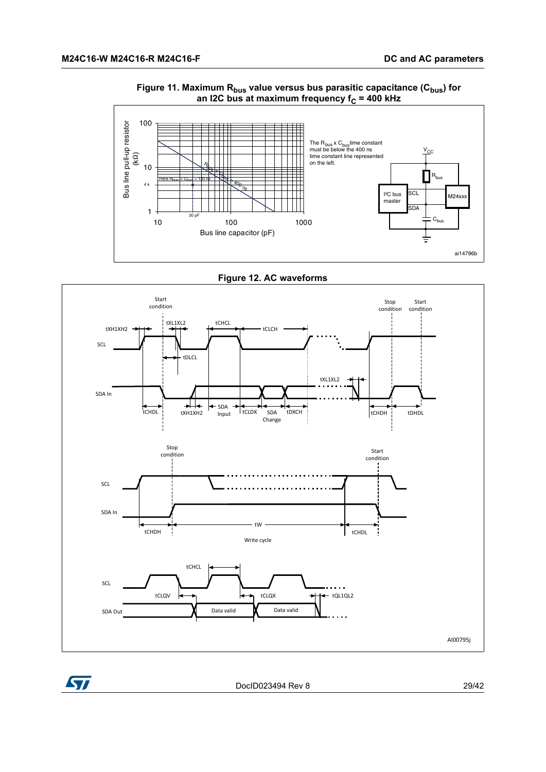<span id="page-28-0"></span>

#### Figure 11. Maximum R<sub>bus</sub> value versus bus parasitic capacitance (C<sub>bus</sub>) for an I2C bus at maximum frequency f<sub>C</sub> = 400 kHz



<span id="page-28-1"></span>



DocID023494 Rev 8 29/42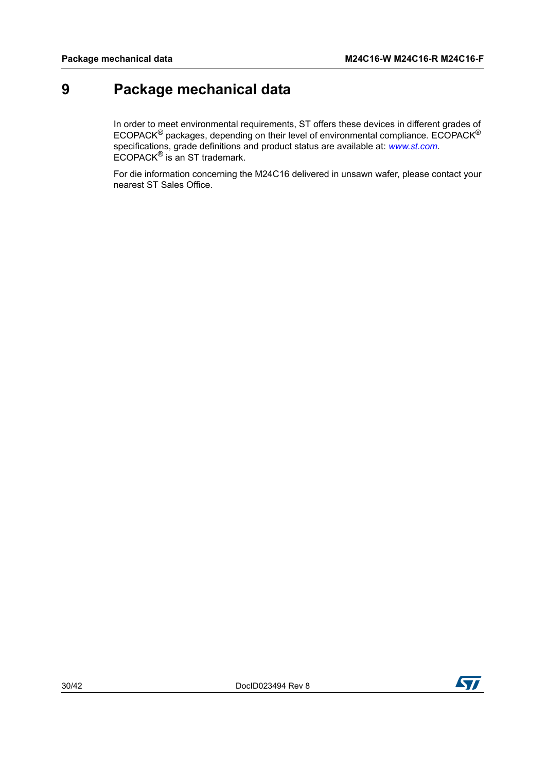# <span id="page-29-0"></span>**9 Package mechanical data**

In order to meet environmental requirements, ST offers these devices in different grades of ECOPACK® packages, depending on their level of environmental compliance. ECOPACK® specifications, grade definitions and product status are available at: *www.st.com*. ECOPACK® is an ST trademark.

For die information concerning the M24C16 delivered in unsawn wafer, please contact your nearest ST Sales Office.

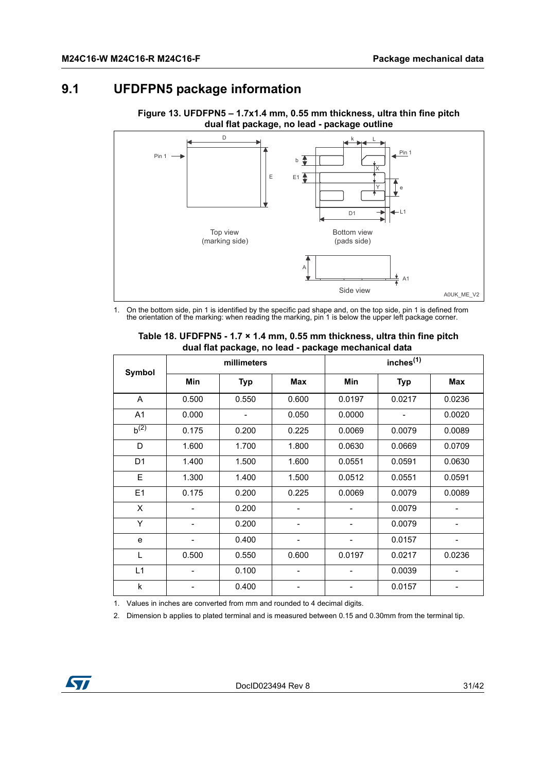### <span id="page-30-0"></span>**9.1 UFDFPN5 package information**



<span id="page-30-2"></span>**Figure 13. UFDFPN5 – 1.7x1.4 mm, 0.55 mm thickness, ultra thin fine pitch dual flat package, no lead - package outline**

1. On the bottom side, pin 1 is identified by the specific pad shape and, on the top side, pin 1 is defined from the orientation of the marking: when reading the marking, pin 1 is below the upper left package corner.

<span id="page-30-1"></span>

| Symbol         | millimeters |            |            |        |            |            |
|----------------|-------------|------------|------------|--------|------------|------------|
|                | <b>Min</b>  | <b>Typ</b> | <b>Max</b> | Min    | <b>Typ</b> | <b>Max</b> |
| A              | 0.500       | 0.550      | 0.600      | 0.0197 | 0.0217     | 0.0236     |
| A1             | 0.000       |            | 0.050      | 0.0000 |            | 0.0020     |
| $b^{(2)}$      | 0.175       | 0.200      | 0.225      | 0.0069 | 0.0079     | 0.0089     |
| D              | 1.600       | 1.700      | 1.800      | 0.0630 | 0.0669     | 0.0709     |
| D <sub>1</sub> | 1.400       | 1.500      | 1.600      | 0.0551 | 0.0591     | 0.0630     |
| E              | 1.300       | 1.400      | 1.500      | 0.0512 | 0.0551     | 0.0591     |
| E1             | 0.175       | 0.200      | 0.225      | 0.0069 | 0.0079     | 0.0089     |
| X              |             | 0.200      |            |        | 0.0079     |            |
| Y              |             | 0.200      |            |        | 0.0079     |            |
| e              |             | 0.400      |            |        | 0.0157     |            |
| L              | 0.500       | 0.550      | 0.600      | 0.0197 | 0.0217     | 0.0236     |
| L1             |             | 0.100      | -          |        | 0.0039     | -          |
| k              |             | 0.400      |            |        | 0.0157     |            |

#### **Table 18. UFDFPN5 - 1.7 × 1.4 mm, 0.55 mm thickness, ultra thin fine pitch dual flat package, no lead - package mechanical data**

1. Values in inches are converted from mm and rounded to 4 decimal digits.

2. Dimension b applies to plated terminal and is measured between 0.15 and 0.30mm from the terminal tip.

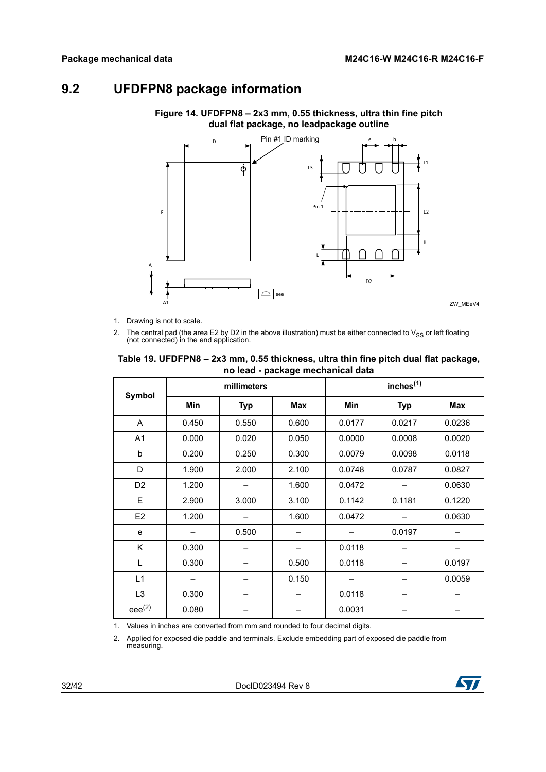# <span id="page-31-0"></span>**9.2 UFDFPN8 package information**

<span id="page-31-2"></span>

**Figure 14. UFDFPN8 – 2x3 mm, 0.55 thickness, ultra thin fine pitch dual flat package, no leadpackage outline**

1. Drawing is not to scale.

2. The central pad (the area E2 by D2 in the above illustration) must be either connected to V<sub>SS</sub> or left floating (not connected) in the end application.

#### <span id="page-31-1"></span>**Table 19. UFDFPN8 – 2x3 mm, 0.55 thickness, ultra thin fine pitch dual flat package, no lead - package mechanical data**

|                | millimeters |            |            |            |            |            |
|----------------|-------------|------------|------------|------------|------------|------------|
| Symbol         | <b>Min</b>  | <b>Typ</b> | <b>Max</b> | <b>Min</b> | <b>Typ</b> | <b>Max</b> |
| A              | 0.450       | 0.550      | 0.600      | 0.0177     | 0.0217     | 0.0236     |
| A <sub>1</sub> | 0.000       | 0.020      | 0.050      | 0.0000     | 0.0008     | 0.0020     |
| b              | 0.200       | 0.250      | 0.300      | 0.0079     | 0.0098     | 0.0118     |
| D              | 1.900       | 2.000      | 2.100      | 0.0748     | 0.0787     | 0.0827     |
| D <sub>2</sub> | 1.200       |            | 1.600      | 0.0472     |            | 0.0630     |
| Е              | 2.900       | 3.000      | 3.100      | 0.1142     | 0.1181     | 0.1220     |
| E <sub>2</sub> | 1.200       |            | 1.600      | 0.0472     |            | 0.0630     |
| e              |             | 0.500      |            |            | 0.0197     |            |
| Κ              | 0.300       |            |            | 0.0118     |            |            |
| L              | 0.300       |            | 0.500      | 0.0118     |            | 0.0197     |
| L1             |             |            | 0.150      |            |            | 0.0059     |
| L <sub>3</sub> | 0.300       |            |            | 0.0118     |            |            |
| $eee^{(2)}$    | 0.080       |            |            | 0.0031     |            |            |

1. Values in inches are converted from mm and rounded to four decimal digits.

2. Applied for exposed die paddle and terminals. Exclude embedding part of exposed die paddle from measuring.

32/42 DocID023494 Rev 8

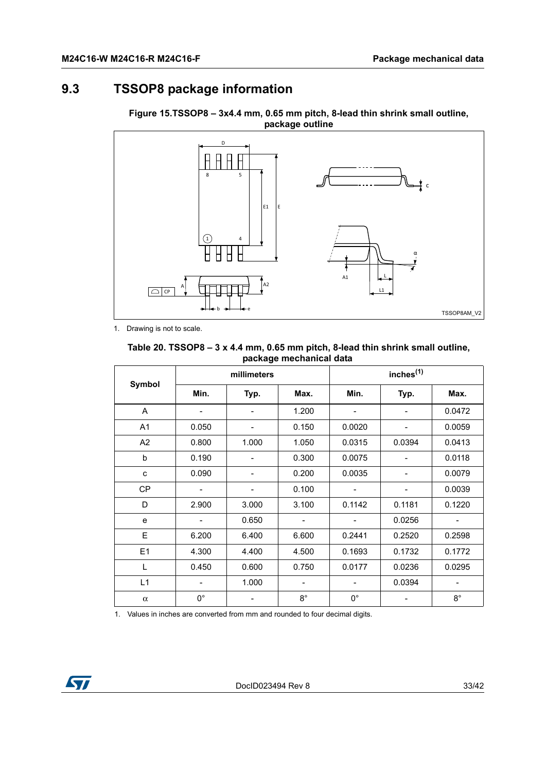# <span id="page-32-0"></span>**9.3 TSSOP8 package information**



<span id="page-32-2"></span>**Figure 15.TSSOP8 – 3x4.4 mm, 0.65 mm pitch, 8-lead thin shrink small outline, package outline**

1. Drawing is not to scale.

#### <span id="page-32-1"></span>**Table 20. TSSOP8 – 3 x 4.4 mm, 0.65 mm pitch, 8-lead thin shrink small outline, package mechanical data**

|                | millimeters                  |                          |                              | inches <sup>(1)</sup> |        |                          |
|----------------|------------------------------|--------------------------|------------------------------|-----------------------|--------|--------------------------|
| Symbol         | Min.                         | Typ.                     | Max.                         | Min.                  | Typ.   | Max.                     |
| A              |                              | $\overline{\phantom{a}}$ | 1.200                        | ۰                     | Ĭ.     | 0.0472                   |
| A <sub>1</sub> | 0.050                        | -                        | 0.150                        | 0.0020                |        | 0.0059                   |
| A <sub>2</sub> | 0.800                        | 1.000                    | 1.050                        | 0.0315                | 0.0394 | 0.0413                   |
| b              | 0.190                        |                          | 0.300                        | 0.0075                |        | 0.0118                   |
| c              | 0.090                        |                          | 0.200                        | 0.0035                |        | 0.0079                   |
| <b>CP</b>      |                              | -                        | 0.100                        |                       |        | 0.0039                   |
| D              | 2.900                        | 3.000                    | 3.100                        | 0.1142                | 0.1181 | 0.1220                   |
| e              | $\qquad \qquad \blacksquare$ | 0.650                    | $\qquad \qquad \blacksquare$ |                       | 0.0256 |                          |
| E              | 6.200                        | 6.400                    | 6.600                        | 0.2441                | 0.2520 | 0.2598                   |
| E1             | 4.300                        | 4.400                    | 4.500                        | 0.1693                | 0.1732 | 0.1772                   |
| L              | 0.450                        | 0.600                    | 0.750                        | 0.0177                | 0.0236 | 0.0295                   |
| L1             |                              | 1.000                    | -                            |                       | 0.0394 | $\overline{\phantom{a}}$ |
| $\alpha$       | $0^{\circ}$                  |                          | $8^{\circ}$                  | $0^{\circ}$           |        | $8^{\circ}$              |

1. Values in inches are converted from mm and rounded to four decimal digits.

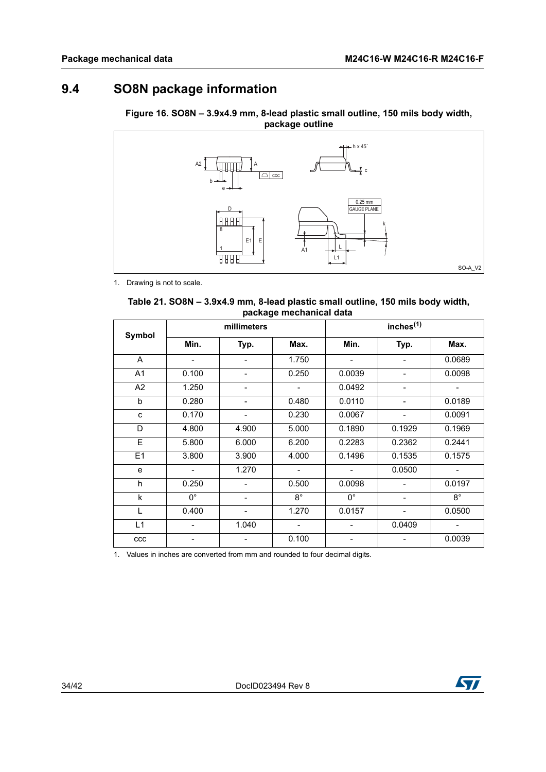# <span id="page-33-0"></span>**9.4 SO8N package information**

<span id="page-33-2"></span>



1. Drawing is not to scale.

<span id="page-33-1"></span>

| Table 21. SO8N – 3.9x4.9 mm, 8-lead plastic small outline, 150 mils body width, |  |
|---------------------------------------------------------------------------------|--|
| package mechanical data                                                         |  |

| Symbol      | millimeters |                          |                          | inches <sup>(1)</sup>        |                          |             |
|-------------|-------------|--------------------------|--------------------------|------------------------------|--------------------------|-------------|
|             | Min.        | Typ.                     | Max.                     | Min.                         | Typ.                     | Max.        |
| A           |             | $\overline{\phantom{a}}$ | 1.750                    | $\qquad \qquad \blacksquare$ |                          | 0.0689      |
| A1          | 0.100       | -                        | 0.250                    | 0.0039                       | -                        | 0.0098      |
| A2          | 1.250       | $\overline{\phantom{a}}$ |                          | 0.0492                       | $\blacksquare$           |             |
| b           | 0.280       | -                        | 0.480                    | 0.0110                       |                          | 0.0189      |
| C           | 0.170       | -                        | 0.230                    | 0.0067                       |                          | 0.0091      |
| $\mathsf D$ | 4.800       | 4.900                    | 5.000                    | 0.1890                       | 0.1929                   | 0.1969      |
| E           | 5.800       | 6.000                    | 6.200                    | 0.2283                       | 0.2362                   | 0.2441      |
| E1          | 3.800       | 3.900                    | 4.000                    | 0.1496                       | 0.1535                   | 0.1575      |
| e           |             | 1.270                    | $\blacksquare$           |                              | 0.0500                   | $\sim$      |
| h           | 0.250       |                          | 0.500                    | 0.0098                       |                          | 0.0197      |
| k           | $0^{\circ}$ | $\overline{\phantom{a}}$ | $8^{\circ}$              | $0^{\circ}$                  | $\overline{\phantom{a}}$ | $8^{\circ}$ |
| L           | 0.400       | $\overline{\phantom{0}}$ | 1.270                    | 0.0157                       |                          | 0.0500      |
| L1          |             | 1.040                    | $\overline{\phantom{a}}$ |                              | 0.0409                   | -           |
| ccc         |             |                          | 0.100                    |                              |                          | 0.0039      |

1. Values in inches are converted from mm and rounded to four decimal digits.

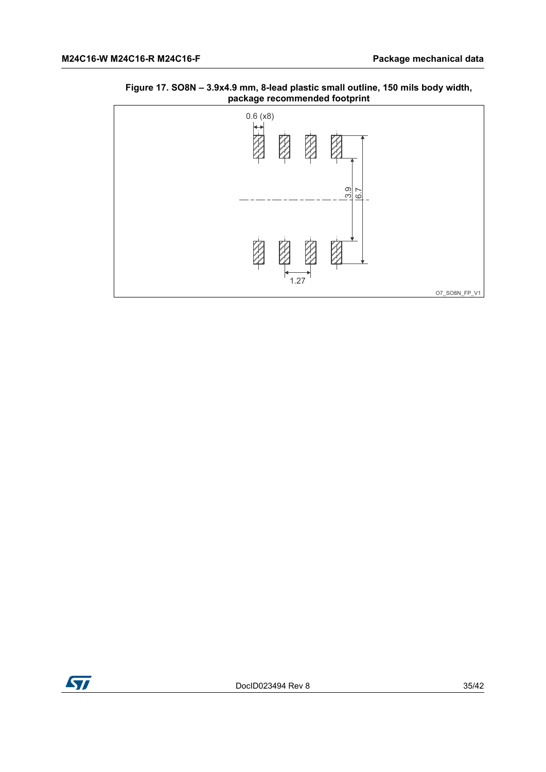<span id="page-34-0"></span>



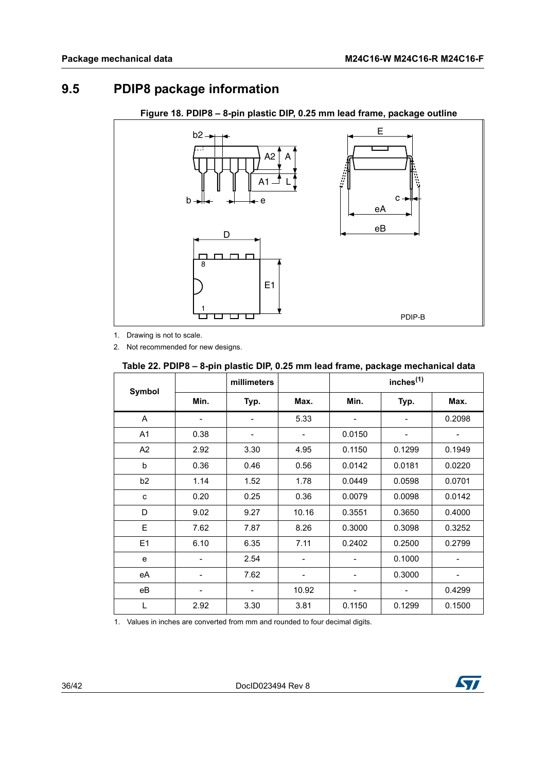# <span id="page-35-0"></span>**9.5 PDIP8 package information**

<span id="page-35-2"></span>

**Figure 18. PDIP8 – 8-pin plastic DIP, 0.25 mm lead frame, package outline**

1. Drawing is not to scale.

2. Not recommended for new designs.

#### <span id="page-35-1"></span>**Table 22. PDIP8 – 8-pin plastic DIP, 0.25 mm lead frame, package mechanical data**

|                |      | millimeters |                              |        | inches $(1)$ |        |
|----------------|------|-------------|------------------------------|--------|--------------|--------|
| Symbol         | Min. | Typ.        | Max.                         | Min.   | Typ.         | Max.   |
| A              |      | -           | 5.33                         |        |              | 0.2098 |
| A <sub>1</sub> | 0.38 | -           | ٠                            | 0.0150 |              |        |
| A <sub>2</sub> | 2.92 | 3.30        | 4.95                         | 0.1150 | 0.1299       | 0.1949 |
| b              | 0.36 | 0.46        | 0.56                         | 0.0142 | 0.0181       | 0.0220 |
| b <sub>2</sub> | 1.14 | 1.52        | 1.78                         | 0.0449 | 0.0598       | 0.0701 |
| c              | 0.20 | 0.25        | 0.36                         | 0.0079 | 0.0098       | 0.0142 |
| D              | 9.02 | 9.27        | 10.16                        | 0.3551 | 0.3650       | 0.4000 |
| E              | 7.62 | 7.87        | 8.26                         | 0.3000 | 0.3098       | 0.3252 |
| E1             | 6.10 | 6.35        | 7.11                         | 0.2402 | 0.2500       | 0.2799 |
| e              |      | 2.54        | $\qquad \qquad \blacksquare$ |        | 0.1000       |        |
| eA             |      | 7.62        |                              |        | 0.3000       |        |
| eВ             |      |             | 10.92                        |        |              | 0.4299 |
| L              | 2.92 | 3.30        | 3.81                         | 0.1150 | 0.1299       | 0.1500 |

1. Values in inches are converted from mm and rounded to four decimal digits.

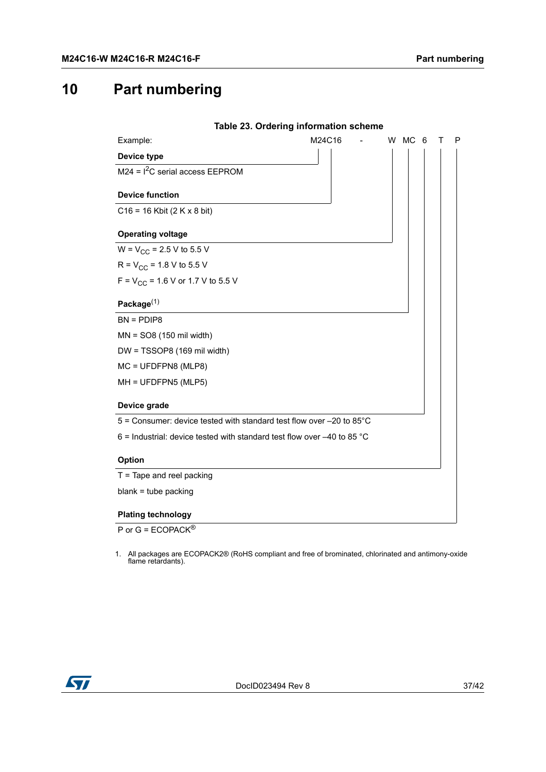# <span id="page-36-0"></span>**10 Part numbering**

<span id="page-36-1"></span>

| Table 23. Ordering information scheme                                               |        |  |        |  |   |
|-------------------------------------------------------------------------------------|--------|--|--------|--|---|
| Example:                                                                            | M24C16 |  | W MC 6 |  | P |
| Device type                                                                         |        |  |        |  |   |
| $M24 = I2C$ serial access EEPROM                                                    |        |  |        |  |   |
| <b>Device function</b>                                                              |        |  |        |  |   |
| $C16 = 16$ Kbit (2 K x 8 bit)                                                       |        |  |        |  |   |
| <b>Operating voltage</b>                                                            |        |  |        |  |   |
| $W = V_{CC} = 2.5 V$ to 5.5 V                                                       |        |  |        |  |   |
| $R = V_{CC} = 1.8 V$ to 5.5 V                                                       |        |  |        |  |   |
| $F = V_{CC} = 1.6$ V or 1.7 V to 5.5 V                                              |        |  |        |  |   |
| Package $(1)$                                                                       |        |  |        |  |   |
| $BN = PDIP8$                                                                        |        |  |        |  |   |
| $MN = SO8 (150 \text{ mil width})$                                                  |        |  |        |  |   |
| DW = TSSOP8 (169 mil width)                                                         |        |  |        |  |   |
| MC = UFDFPN8 (MLP8)                                                                 |        |  |        |  |   |
| MH = UFDFPN5 (MLP5)                                                                 |        |  |        |  |   |
| Device grade                                                                        |        |  |        |  |   |
| $5$ = Consumer: device tested with standard test flow over $-20$ to 85 $^{\circ}$ C |        |  |        |  |   |
| 6 = Industrial: device tested with standard test flow over $-40$ to 85 °C           |        |  |        |  |   |
| <b>Option</b>                                                                       |        |  |        |  |   |
| $T =$ Tape and reel packing                                                         |        |  |        |  |   |
| $blank = tube$ packing                                                              |        |  |        |  |   |
| <b>Plating technology</b>                                                           |        |  |        |  |   |

P or G = ECOPACK<sup>®</sup>

1. All packages are ECOPACK2® (RoHS compliant and free of brominated, chlorinated and antimony-oxide flame retardants).

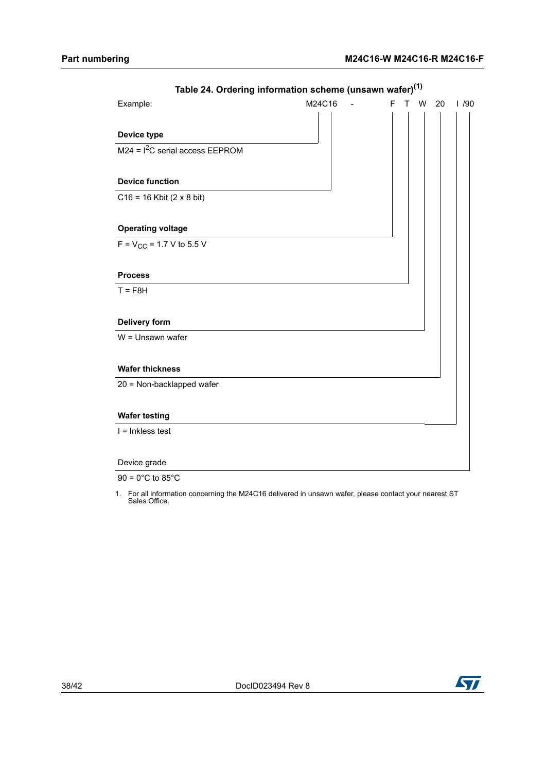<span id="page-37-0"></span>

| Example:                         | M24C16 | F<br>$\mathsf{T}$ | W | 20 | 1/90 |
|----------------------------------|--------|-------------------|---|----|------|
| Device type                      |        |                   |   |    |      |
| $M24 = I2C$ serial access EEPROM |        |                   |   |    |      |
| <b>Device function</b>           |        |                   |   |    |      |
| $C16 = 16$ Kbit (2 x 8 bit)      |        |                   |   |    |      |
| <b>Operating voltage</b>         |        |                   |   |    |      |
| $F = V_{CC} = 1.7 V$ to 5.5 V    |        |                   |   |    |      |
| <b>Process</b>                   |        |                   |   |    |      |
| $T = F8H$                        |        |                   |   |    |      |
| <b>Delivery form</b>             |        |                   |   |    |      |
| $W =$ Unsawn wafer               |        |                   |   |    |      |
| <b>Wafer thickness</b>           |        |                   |   |    |      |
| 20 = Non-backlapped wafer        |        |                   |   |    |      |
| <b>Wafer testing</b>             |        |                   |   |    |      |
| $I = Inkless test$               |        |                   |   |    |      |
| Device grade                     |        |                   |   |    |      |
|                                  |        |                   |   |    |      |

### **Table 24. Ordering information scheme (unsawn wafer)(1)**

 $90 = 0^{\circ}$ C to 85 $^{\circ}$ C

1. For all information concerning the M24C16 delivered in unsawn wafer, please contact your nearest ST Sales Office.

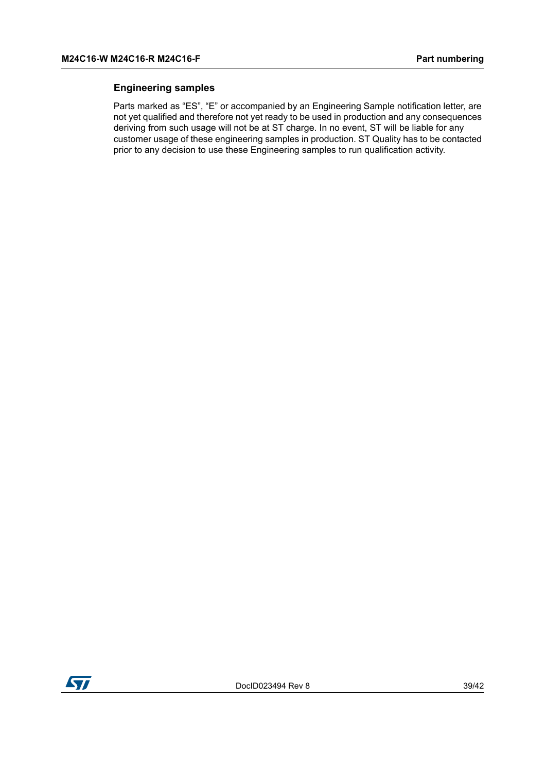#### **Engineering samples**

Parts marked as "ES", "E" or accompanied by an Engineering Sample notification letter, are not yet qualified and therefore not yet ready to be used in production and any consequences deriving from such usage will not be at ST charge. In no event, ST will be liable for any customer usage of these engineering samples in production. ST Quality has to be contacted prior to any decision to use these Engineering samples to run qualification activity.

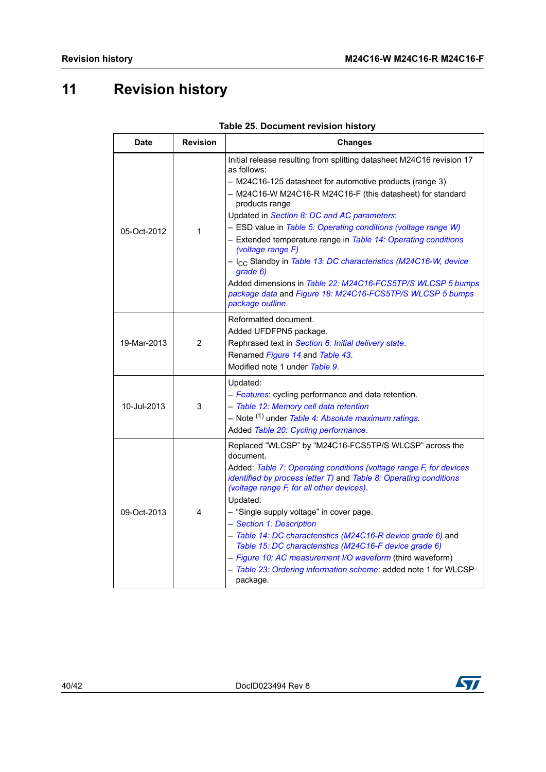# <span id="page-39-0"></span>**11 Revision history**

<span id="page-39-1"></span>

| <b>Date</b> | <b>Revision</b> | <b>Changes</b>                                                                                                                                                                                                                                                                                                                                                                                                                                                                                                                                                                                                                                                                      |
|-------------|-----------------|-------------------------------------------------------------------------------------------------------------------------------------------------------------------------------------------------------------------------------------------------------------------------------------------------------------------------------------------------------------------------------------------------------------------------------------------------------------------------------------------------------------------------------------------------------------------------------------------------------------------------------------------------------------------------------------|
| 05-Oct-2012 | 1               | Initial release resulting from splitting datasheet M24C16 revision 17<br>as follows:<br>- M24C16-125 datasheet for automotive products (range 3)<br>- M24C16-W M24C16-R M24C16-F (this datasheet) for standard<br>products range<br>Updated in Section 8: DC and AC parameters:<br>- ESD value in Table 5: Operating conditions (voltage range W)<br>- Extended temperature range in Table 14: Operating conditions<br>(voltage range F)<br>- I <sub>CC</sub> Standby in Table 13: DC characteristics (M24C16-W, device<br>qrade 6)<br>Added dimensions in Table 22: M24C16-FCS5TP/S WLCSP 5 bumps<br>package data and Figure 18: M24C16-FCS5TP/S WLCSP 5 bumps<br>package outline. |
| 19-Mar-2013 | 2               | Reformatted document.<br>Added UFDFPN5 package.<br>Rephrased text in Section 6: Initial delivery state.<br>Renamed Figure 14 and Table 43.<br>Modified note 1 under Table 9.                                                                                                                                                                                                                                                                                                                                                                                                                                                                                                        |
| 10-Jul-2013 | 3               | Updated:<br>- Features: cycling performance and data retention.<br>- Table 12: Memory cell data retention<br>- Note <sup>(1)</sup> under Table 4: Absolute maximum ratings.<br>Added Table 20: Cycling performance.                                                                                                                                                                                                                                                                                                                                                                                                                                                                 |
| 09-Oct-2013 | 4               | Replaced "WLCSP" by "M24C16-FCS5TP/S WLCSP" across the<br>document.<br>Added: Table 7: Operating conditions (voltage range F, for devices<br>identified by process letter T) and Table 8: Operating conditions<br>(voltage range F, for all other devices).<br>Updated:<br>- "Single supply voltage" in cover page.<br>- Section 1: Description<br>- Table 14: DC characteristics (M24C16-R device grade 6) and<br>Table 15: DC characteristics (M24C16-F device grade 6)<br>- Figure 10: AC measurement I/O waveform (third waveform)<br>- Table 23: Ordering information scheme: added note 1 for WLCSP<br>package.                                                               |

|  | Table 25. Document revision history |  |  |
|--|-------------------------------------|--|--|
|--|-------------------------------------|--|--|



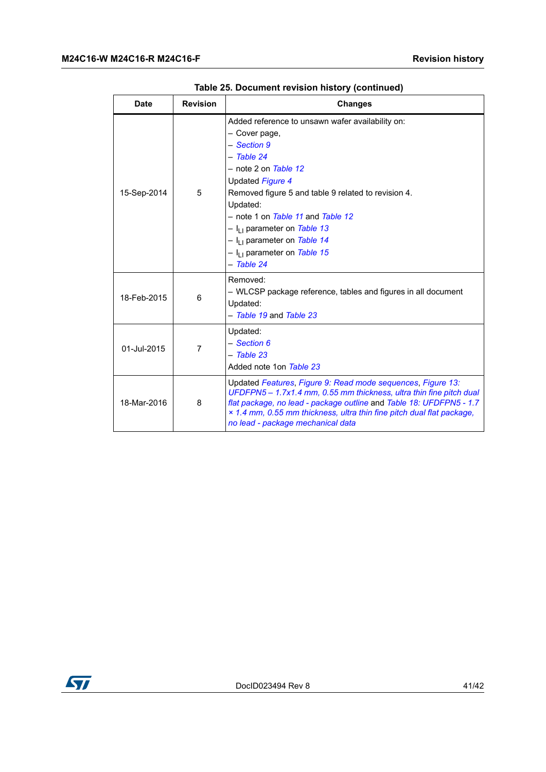| <b>Date</b> | <b>Revision</b> | <b>Changes</b>                                                                                                                                                                                                                                                                                                                                                                          |
|-------------|-----------------|-----------------------------------------------------------------------------------------------------------------------------------------------------------------------------------------------------------------------------------------------------------------------------------------------------------------------------------------------------------------------------------------|
| 15-Sep-2014 | 5               | Added reference to unsawn wafer availability on:<br>- Cover page,<br>- Section 9<br>- Table 24<br>$-$ note 2 on Table 12<br>Updated Figure 4<br>Removed figure 5 and table 9 related to revision 4.<br>Updated:<br>- note 1 on Table 11 and Table 12<br>$- I_{11}$ parameter on Table 13<br>$- I_{11}$ parameter on Table 14<br>- I <sub>LL</sub> parameter on Table 15<br>$-$ Table 24 |
| 18-Feb-2015 | 6               | Removed:<br>- WLCSP package reference, tables and figures in all document<br>Updated:<br>- Table 19 and Table 23                                                                                                                                                                                                                                                                        |
| 01-Jul-2015 | $\overline{7}$  | Updated:<br>- Section 6<br>$-$ Table 23<br>Added note 1on Table 23                                                                                                                                                                                                                                                                                                                      |
| 18-Mar-2016 | 8               | Updated Features, Figure 9: Read mode sequences, Figure 13:<br>UFDFPN5 - 1.7x1.4 mm, 0.55 mm thickness, ultra thin fine pitch dual<br>flat package, no lead - package outline and Table 18: UFDFPN5 - 1.7<br>× 1.4 mm, 0.55 mm thickness, ultra thin fine pitch dual flat package,<br>no lead - package mechanical data                                                                 |

|  |  | Table 25. Document revision history (continued) |  |
|--|--|-------------------------------------------------|--|
|  |  |                                                 |  |